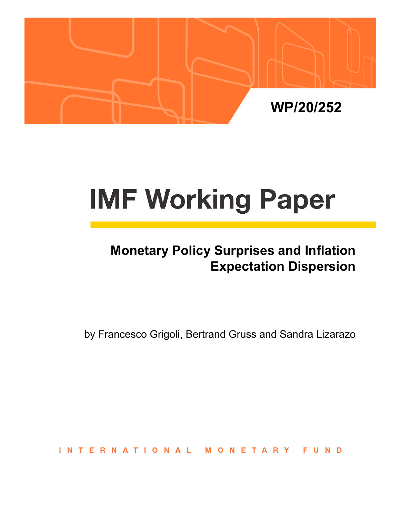

# **IMF Working Paper**

# **Monetary Policy Surprises and Inflation Expectation Dispersion**

by Francesco Grigoli, Bertrand Gruss and Sandra Lizarazo

**INTERNATIONAL** MONETARY FUND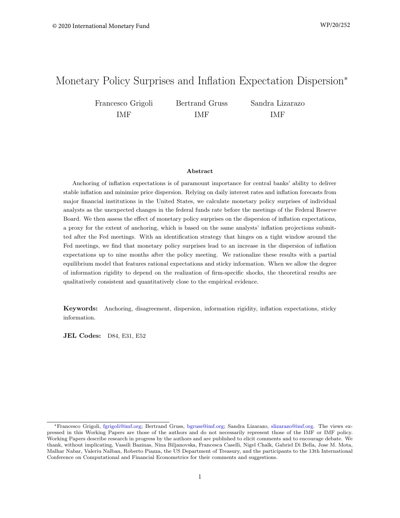# Monetary Policy Surprises and Inflation Expectation Dispersion<sup>∗</sup>

Francesco Grigoli IMF

Bertrand Gruss IMF

Sandra Lizarazo IMF

#### Abstract

Anchoring of inflation expectations is of paramount importance for central banks' ability to deliver stable inflation and minimize price dispersion. Relying on daily interest rates and inflation forecasts from major financial institutions in the United States, we calculate monetary policy surprises of individual analysts as the unexpected changes in the federal funds rate before the meetings of the Federal Reserve Board. We then assess the effect of monetary policy surprises on the dispersion of inflation expectations, a proxy for the extent of anchoring, which is based on the same analysts' inflation projections submitted after the Fed meetings. With an identification strategy that hinges on a tight window around the Fed meetings, we find that monetary policy surprises lead to an increase in the dispersion of inflation expectations up to nine months after the policy meeting. We rationalize these results with a partial equilibrium model that features rational expectations and sticky information. When we allow the degree of information rigidity to depend on the realization of firm-specific shocks, the theoretical results are qualitatively consistent and quantitatively close to the empirical evidence.

Keywords: Anchoring, disagreement, dispersion, information rigidity, inflation expectations, sticky information.

**JEL Codes:** D84, E31, E52

<sup>∗</sup>Francesco Grigoli, [fgrigoli@imf.org;](mailto:fgrigoli@imf.org) Bertrand Gruss, [bgruss@imf.org;](mailto:bgruss@imf.org) Sandra Lizarazo, [slizarazo@imf.org.](mailto:slizarazo@imf.org) The views expressed in this Working Papers are those of the authors and do not necessarily represent those of the IMF or IMF policy. Working Papers describe research in progress by the authors and are published to elicit comments and to encourage debate. We thank, without implicating, Vassili Bazinas, Nina Biljanovska, Francesca Caselli, Nigel Chalk, Gabriel Di Bella, Jose M. Mota, Malhar Nabar, Valeriu Nalban, Roberto Piazza, the US Department of Treasury, and the participants to the 13th International Conference on Computational and Financial Econometrics for their comments and suggestions.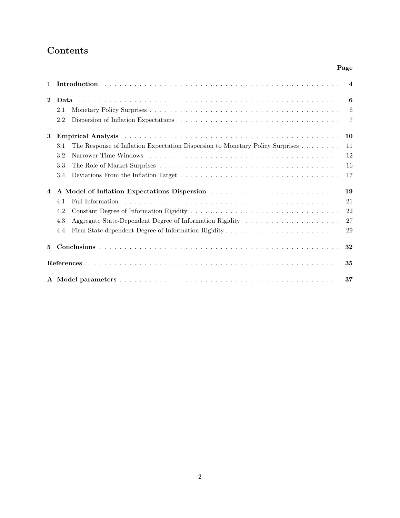# Contents

# Page

| 1              |                                                                                      | $\overline{4}$ |
|----------------|--------------------------------------------------------------------------------------|----------------|
| $\mathbf{2}$   |                                                                                      | 6              |
|                | 2.1                                                                                  | -6             |
|                | 2.2                                                                                  | 7              |
| 3              |                                                                                      | 10             |
|                | The Response of Inflation Expectation Dispersion to Monetary Policy Surprises<br>3.1 | 11             |
|                | 3.2                                                                                  | 12             |
|                | 3.3                                                                                  | 16             |
|                | 3.4                                                                                  | 17             |
| $\overline{4}$ |                                                                                      | 19             |
|                | 4.1                                                                                  | 21             |
|                | 4.2                                                                                  | 22             |
|                | 4.3                                                                                  | 27             |
|                | 4.4                                                                                  | 29             |
| 5              |                                                                                      |                |
|                |                                                                                      | 35             |
|                |                                                                                      |                |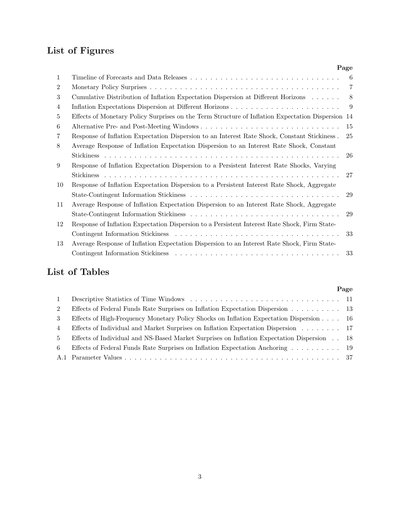# List of Figures

|                |                                                                                                   | Page           |
|----------------|---------------------------------------------------------------------------------------------------|----------------|
| $\mathbf{1}$   |                                                                                                   | 6              |
| $\overline{2}$ |                                                                                                   | $\overline{7}$ |
| 3              | Cumulative Distribution of Inflation Expectation Dispersion at Different Horizons                 | 8              |
| 4              |                                                                                                   | -9             |
| 5              | Effects of Monetary Policy Surprises on the Term Structure of Inflation Expectation Dispersion 14 |                |
| 6              |                                                                                                   | 15             |
| 7              | Response of Inflation Expectation Dispersion to an Interest Rate Shock, Constant Stickiness.      | 25             |
| 8              | Average Response of Inflation Expectation Dispersion to an Interest Rate Shock, Constant          |                |
|                |                                                                                                   | 26             |
| 9              | Response of Inflation Expectation Dispersion to a Persistent Interest Rate Shocks, Varying        |                |
|                |                                                                                                   | 27             |
| 10             | Response of Inflation Expectation Dispersion to a Persistent Interest Rate Shock, Aggregate       |                |
|                |                                                                                                   | 29             |
| 11             | Average Response of Inflation Expectation Dispersion to an Interest Rate Shock, Aggregate         |                |
|                |                                                                                                   | 29             |
| 12             | Response of Inflation Expectation Dispersion to a Persistent Interest Rate Shock, Firm State-     |                |
|                |                                                                                                   | 33             |
| 13             | Average Response of Inflation Expectation Dispersion to an Interest Rate Shock, Firm State-       |                |
|                |                                                                                                   | 33             |
|                |                                                                                                   |                |

# List of Tables

|                |                                                                                            | Page |
|----------------|--------------------------------------------------------------------------------------------|------|
| 1              |                                                                                            |      |
| $2^{\circ}$    | Effects of Federal Funds Rate Surprises on Inflation Expectation Dispersion 13             |      |
| 3              | Effects of High-Frequency Monetary Policy Shocks on Inflation Expectation Dispersion 16    |      |
| $\overline{4}$ | Effects of Individual and Market Surprises on Inflation Expectation Dispersion 17          |      |
| $5^{\circ}$    | Effects of Individual and NS-Based Market Surprises on Inflation Expectation Dispersion 18 |      |
| 6.             | Effects of Federal Funds Rate Surprises on Inflation Expectation Anchoring 19              |      |
|                |                                                                                            |      |
|                |                                                                                            |      |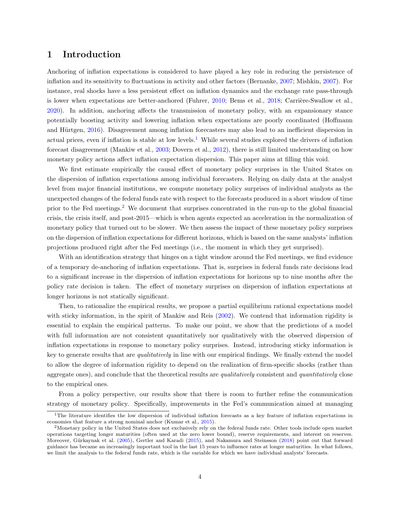## <span id="page-4-0"></span>1 Introduction

Anchoring of inflation expectations is considered to have played a key role in reducing the persistence of inflation and its sensitivity to fluctuations in activity and other factors (Bernanke, [2007;](#page-35-0) Mishkin, [2007\)](#page-36-0). For instance, real shocks have a less persistent effect on inflation dynamics and the exchange rate pass-through is lower when expectations are better-anchored (Fuhrer, [2010;](#page-35-1) Bems et al., [2018;](#page-35-2) Carrière-Swallow et al., [2020\)](#page-35-3). In addition, anchoring affects the transmission of monetary policy, with an expansionary stance potentially boosting activity and lowering inflation when expectations are poorly coordinated (Hoffmann and Hürtgen, [2016\)](#page-35-4). Disagreement among inflation forecasters may also lead to an inefficient dispersion in actual prices, even if inflation is stable at low levels.<sup>[1](#page-4-1)</sup> While several studies explored the drivers of inflation forecast disagreement (Mankiw et al., [2003;](#page-36-1) Dovern et al., [2012\)](#page-35-5), there is still limited understanding on how monetary policy actions affect inflation expectation dispersion. This paper aims at filling this void.

We first estimate empirically the causal effect of monetary policy surprises in the United States on the dispersion of inflation expectations among individual forecasters. Relying on daily data at the analyst level from major financial institutions, we compute monetary policy surprises of individual analysts as the unexpected changes of the federal funds rate with respect to the forecasts produced in a short window of time prior to the Fed meetings.[2](#page-4-2) We document that surprises concentrated in the run-up to the global financial crisis, the crisis itself, and post-2015—which is when agents expected an acceleration in the normalization of monetary policy that turned out to be slower. We then assess the impact of these monetary policy surprises on the dispersion of inflation expectations for different horizons, which is based on the same analysts' inflation projections produced right after the Fed meetings (i.e., the moment in which they get surprised).

With an identification strategy that hinges on a tight window around the Fed meetings, we find evidence of a temporary de-anchoring of inflation expectations. That is, surprises in federal funds rate decisions lead to a significant increase in the dispersion of inflation expectations for horizons up to nine months after the policy rate decision is taken. The effect of monetary surprises on dispersion of inflation expectations at longer horizons is not statically significant.

Then, to rationalize the empirical results, we propose a partial equilibrium rational expectations model with sticky information, in the spirit of Mankiw and Reis [\(2002\)](#page-36-2). We contend that information rigidity is essential to explain the empirical patterns. To make our point, we show that the predictions of a model with full information are not consistent quantitatively nor qualitatively with the observed dispersion of inflation expectations in response to monetary policy surprises. Instead, introducing sticky information is key to generate results that are qualitatively in line with our empirical findings. We finally extend the model to allow the degree of information rigidity to depend on the realization of firm-specific shocks (rather than aggregate ones), and conclude that the theoretical results are *qualitatively* consistent and *quantitatively* close to the empirical ones.

From a policy perspective, our results show that there is room to further refine the communication strategy of monetary policy. Specifically, improvements in the Fed's communication aimed at managing

<span id="page-4-1"></span><sup>&</sup>lt;sup>1</sup>The literature identifies the low dispersion of individual inflation forecasts as a key feature of inflation expectations in economies that feature a strong nominal anchor (Kumar et al., [2015\)](#page-36-3).

<span id="page-4-2"></span><sup>&</sup>lt;sup>2</sup>Monetary policy in the United States does not exclusively rely on the federal funds rate. Other tools include open market operations targeting longer maturities (often used at the zero lower bound), reserve requirements, and interest on reserves. Moreover, Gürkaynak et al. [\(2005\)](#page-35-6), Gertler and Karadi [\(2015\)](#page-35-7), and Nakamura and Steinsson [\(2018\)](#page-36-4) point out that forward guidance has became an increasingly important tool in the last 15 years to influence rates at longer maturities. In what follows, we limit the analysis to the federal funds rate, which is the variable for which we have individual analysts' forecasts.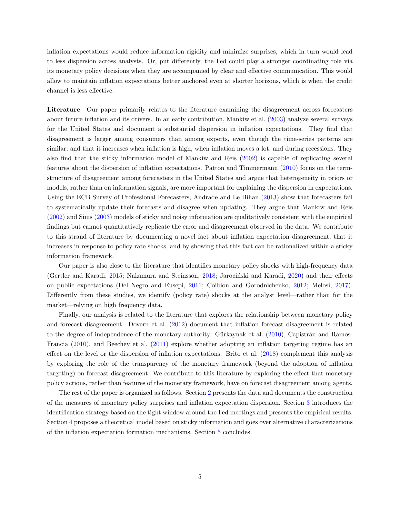inflation expectations would reduce information rigidity and minimize surprises, which in turn would lead to less dispersion across analysts. Or, put differently, the Fed could play a stronger coordinating role via its monetary policy decisions when they are accompanied by clear and effective communication. This would allow to maintain inflation expectations better anchored even at shorter horizons, which is when the credit channel is less effective.

Literature Our paper primarily relates to the literature examining the disagreement across forecasters about future inflation and its drivers. In an early contribution, Mankiw et al. [\(2003\)](#page-36-1) analyze several surveys for the United States and document a substantial dispersion in inflation expectations. They find that disagreement is larger among consumers than among experts, even though the time-series patterns are similar; and that it increases when inflation is high, when inflation moves a lot, and during recessions. They also find that the sticky information model of Mankiw and Reis [\(2002\)](#page-36-2) is capable of replicating several features about the dispersion of inflation expectations. Patton and Timmermann [\(2010\)](#page-36-5) focus on the termstructure of disagreement among forecasters in the United States and argue that heterogeneity in priors or models, rather than on information signals, are more important for explaining the dispersion in expectations. Using the ECB Survey of Professional Forecasters, Andrade and Le Bihan [\(2013\)](#page-35-8) show that forecasters fail to systematically update their forecasts and disagree when updating. They argue that Mankiw and Reis [\(2002\)](#page-36-2) and Sims [\(2003\)](#page-36-6) models of sticky and noisy information are qualitatively consistent with the empirical findings but cannot quantitatively replicate the error and disagreement observed in the data. We contribute to this strand of literature by documenting a novel fact about inflation expectation disagreement, that it increases in response to policy rate shocks, and by showing that this fact can be rationalized within a sticky information framework.

Our paper is also close to the literature that identifies monetary policy shocks with high-frequency data (Gertler and Karadi, [2015;](#page-35-7) Nakamura and Steinsson, [2018;](#page-36-4) Jarocinski and Karadi, [2020\)](#page-35-9) and their effects on public expectations (Del Negro and Eusepi, [2011;](#page-35-10) Coibion and Gorodnichenko, [2012;](#page-35-11) Melosi, [2017\)](#page-36-7). Differently from these studies, we identify (policy rate) shocks at the analyst level—rather than for the market—relying on high frequency data.

Finally, our analysis is related to the literature that explores the relationship between monetary policy and forecast disagreement. Dovern et al. [\(2012\)](#page-35-5) document that inflation forecast disagreement is related to the degree of independence of the monetary authority. Gürkaynak et al.  $(2010)$ , Capistrán and Ramos-Francia [\(2010\)](#page-35-13), and Beechey et al. [\(2011\)](#page-35-14) explore whether adopting an inflation targeting regime has an effect on the level or the dispersion of inflation expectations. Brito et al. [\(2018\)](#page-35-15) complement this analysis by exploring the role of the transparency of the monetary framework (beyond the adoption of inflation targeting) on forecast disagreement. We contribute to this literature by exploring the effect that monetary policy actions, rather than features of the monetary framework, have on forecast disagreement among agents.

The rest of the paper is organized as follows. Section [2](#page-6-0) presents the data and documents the construction of the measures of monetary policy surprises and inflation expectation dispersion. Section [3](#page-10-0) introduces the identification strategy based on the tight window around the Fed meetings and presents the empirical results. Section [4](#page-19-0) proposes a theoretical model based on sticky information and goes over alternative characterizations of the inflation expectation formation mechanisms. Section [5](#page-32-0) concludes.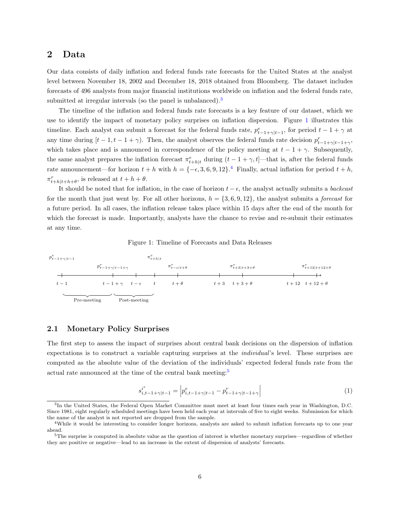#### <span id="page-6-0"></span>2 Data

Our data consists of daily inflation and federal funds rate forecasts for the United States at the analyst level between November 18, 2002 and December 18, 2018 obtained from Bloomberg. The dataset includes forecasts of 496 analysts from major financial institutions worldwide on inflation and the federal funds rate, submitted at irregular intervals (so the panel is unbalanced). $3$ 

The timeline of the inflation and federal funds rate forecasts is a key feature of our dataset, which we use to identify the impact of monetary policy surprises on inflation dispersion. Figure [1](#page-6-2) illustrates this timeline. Each analyst can submit a forecast for the federal funds rate,  $p_{t-1+\gamma|t-1}^e$ , for period  $t-1+\gamma$  at any time during  $[t-1, t-1+\gamma)$ . Then, the analyst observes the federal funds rate decision  $p_{t-1+\gamma|t-1+\gamma}^r$ , which takes place and is announced in correspondence of the policy meeting at  $t - 1 + \gamma$ . Subsequently, the same analyst prepares the inflation forecast  $\pi_{t+h|t}^e$  during  $(t-1+\gamma,t]$ —that is, after the federal funds rate announcement—for horizon  $t + h$  with  $h = \{-\epsilon, 3, 6, 9, 12\}$ .<sup>[4](#page-6-4)</sup> Finally, actual inflation for period  $t + h$ ,  $\pi_{t+h|t+h+\theta}^{r}$ , is released at  $t+h+\theta$ .

It should be noted that for inflation, in the case of horizon  $t - \epsilon$ , the analyst actually submits a backcast for the month that just went by. For all other horizons,  $h = \{3, 6, 9, 12\}$ , the analyst submits a *forecast* for a future period. In all cases, the inflation release takes place within 15 days after the end of the month for which the forecast is made. Importantly, analysts have the chance to revise and re-submit their estimates at any time.

Figure 1: Timeline of Forecasts and Data Releases

<span id="page-6-2"></span>

#### <span id="page-6-1"></span>2.1 Monetary Policy Surprises

The first step to assess the impact of surprises about central bank decisions on the dispersion of inflation expectations is to construct a variable capturing surprises at the individual's level. These surprises are computed as the absolute value of the deviation of the individuals' expected federal funds rate from the actual rate announced at the time of the central bank meeting: $5$ 

$$
s_{i,t-1+\gamma|t-1}^{i^e} = \left| p_{i,t-1+\gamma|t-1}^e - p_{t-1+\gamma|t-1+\gamma}^r \right| \tag{1}
$$

<span id="page-6-3"></span><sup>3</sup> In the United States, the Federal Open Market Committee must meet at least four times each year in Washington, D.C. Since 1981, eight regularly scheduled meetings have been held each year at intervals of five to eight weeks. Submission for which the name of the analyst is not reported are dropped from the sample.

<span id="page-6-4"></span><sup>&</sup>lt;sup>4</sup>While it would be interesting to consider longer horizons, analysts are asked to submit inflation forecasts up to one year ahead.

<span id="page-6-5"></span> $5$ The surprise is computed in absolute value as the question of interest is whether monetary surprises—regardless of whether they are positive or negative—lead to an increase in the extent of dispersion of analysts' forecasts.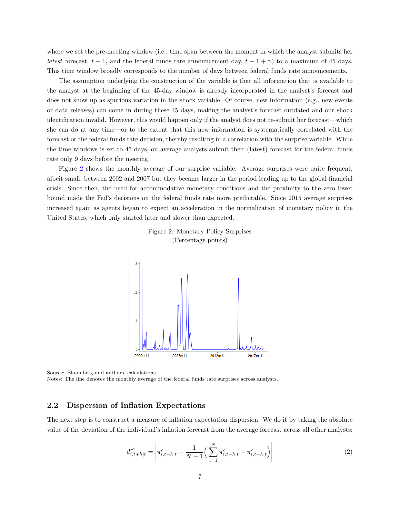where we set the pre-meeting window (i.e., time span between the moment in which the analyst submits her latest forecast,  $t - 1$ , and the federal funds rate announcement day,  $t - 1 + \gamma$  to a maximum of 45 days. This time window broadly corresponds to the number of days between federal funds rate announcements.

The assumption underlying the construction of the variable is that all information that is available to the analyst at the beginning of the 45-day window is already incorporated in the analyst's forecast and does not show up as spurious variation in the shock variable. Of course, new information (e.g., new events or data releases) can come in during these 45 days, making the analyst's forecast outdated and our shock identification invalid. However, this would happen only if the analyst does not re-submit her forecast—which she can do at any time—or to the extent that this new information is systematically correlated with the forecast or the federal funds rate decision, thereby resulting in a correlation with the surprise variable. While the time windows is set to 45 days, on average analysts submit their (latest) forecast for the federal funds rate only 9 days before the meeting.

<span id="page-7-1"></span>Figure [2](#page-7-1) shows the monthly average of our surprise variable. Average surprises were quite frequent, albeit small, between 2002 and 2007 but they became larger in the period leading up to the global financial crisis. Since then, the need for accommodative monetary conditions and the proximity to the zero lower bound made the Fed's decisions on the federal funds rate more predictable. Since 2015 average surprises increased again as agents began to expect an acceleration in the normalization of monetary policy in the United States, which only started later and slower than expected.



Figure 2: Monetary Policy Surprises (Percentage points)

Source: Bloomberg and authors' calculations.

Notes: The line denotes the monthly average of the federal funds rate surprises across analysts.

#### <span id="page-7-0"></span>2.2 Dispersion of Inflation Expectations

The next step is to construct a measure of inflation expectation dispersion. We do it by taking the absolute value of the deviation of the individual's inflation forecast from the average forecast across all other analysts:

$$
d_{i,t+h|t}^{\pi^e} = \left| \pi^e_{i,t+h|t} - \frac{1}{N-1} \left( \sum_{i=1}^N \pi^e_{i,t+h|t} - \pi^e_{i,t+h|t} \right) \right| \tag{2}
$$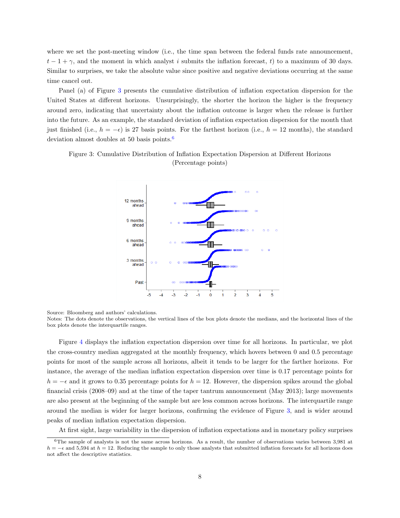where we set the post-meeting window (i.e., the time span between the federal funds rate announcement,  $t-1+\gamma$ , and the moment in which analyst i submits the inflation forecast, t) to a maximum of 30 days. Similar to surprises, we take the absolute value since positive and negative deviations occurring at the same time cancel out.

Panel (a) of Figure [3](#page-8-0) presents the cumulative distribution of inflation expectation dispersion for the United States at different horizons. Unsurprisingly, the shorter the horizon the higher is the frequency around zero, indicating that uncertainty about the inflation outcome is larger when the release is further into the future. As an example, the standard deviation of inflation expectation dispersion for the month that just finished (i.e.,  $h = -\epsilon$ ) is 27 basis points. For the farthest horizon (i.e.,  $h = 12$  months), the standard deviation almost doubles at 50 basis points.[6](#page-8-1)

<span id="page-8-0"></span>Figure 3: Cumulative Distribution of Inflation Expectation Dispersion at Different Horizons (Percentage points)



Source: Bloomberg and authors' calculations.

Notes: The dots denote the observations, the vertical lines of the box plots denote the medians, and the horizontal lines of the box plots denote the interquartile ranges.

Figure [4](#page-9-0) displays the inflation expectation dispersion over time for all horizons. In particular, we plot the cross-country median aggregated at the monthly frequency, which hovers between 0 and 0.5 percentage points for most of the sample across all horizons, albeit it tends to be larger for the farther horizons. For instance, the average of the median inflation expectation dispersion over time is 0.17 percentage points for  $h = -\epsilon$  and it grows to 0.35 percentage points for  $h = 12$ . However, the dispersion spikes around the global financial crisis (2008–09) and at the time of the taper tantrum announcement (May 2013); large movements are also present at the beginning of the sample but are less common across horizons. The interquartile range around the median is wider for larger horizons, confirming the evidence of Figure [3,](#page-8-0) and is wider around peaks of median inflation expectation dispersion.

At first sight, large variability in the dispersion of inflation expectations and in monetary policy surprises

<span id="page-8-1"></span> $6$ The sample of analysts is not the same across horizons. As a result, the number of observations varies between 3,981 at  $h = -\epsilon$  and 5,594 at  $h = 12$ . Reducing the sample to only those analysts that submitted inflation forecasts for all horizons does not affect the descriptive statistics.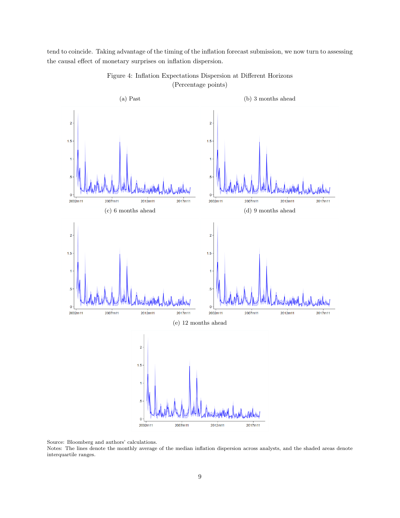<span id="page-9-0"></span>tend to coincide. Taking advantage of the timing of the inflation forecast submission, we now turn to assessing the causal effect of monetary surprises on inflation dispersion.



Figure 4: Inflation Expectations Dispersion at Different Horizons (Percentage points)

Source: Bloomberg and authors' calculations.

Notes: The lines denote the monthly average of the median inflation dispersion across analysts, and the shaded areas denote interquartile ranges.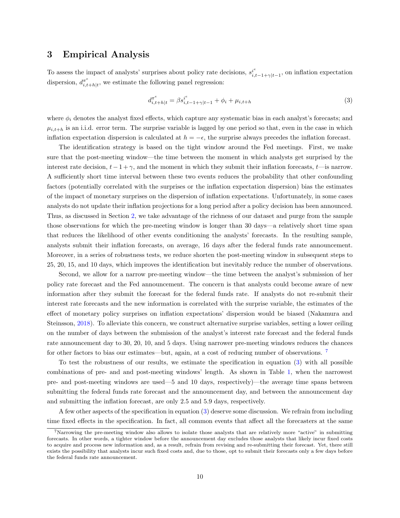#### <span id="page-10-0"></span>3 Empirical Analysis

To assess the impact of analysts' surprises about policy rate decisions,  $s_i^i$  $\sum_{i,t-1+\gamma|t-1}^{i^{\circ}}$ , on inflation expectation dispersion,  $d_{i,t}^{\pi^e}$  $\sum_{i,t+h|t}^{\pi^{\circ}}$ , we estimate the following panel regression:

<span id="page-10-2"></span>
$$
d_{i,t+h|t}^{\pi^e} = \beta s_{i,t-1+\gamma|t-1}^{i^e} + \phi_i + \mu_{i,t+h}
$$
\n(3)

where  $\phi_i$  denotes the analyst fixed effects, which capture any systematic bias in each analyst's forecasts; and  $\mu_{i,t+h}$  is an i.i.d. error term. The surprise variable is lagged by one period so that, even in the case in which inflation expectation dispersion is calculated at  $h = -\epsilon$ , the surprise always precedes the inflation forecast.

The identification strategy is based on the tight window around the Fed meetings. First, we make sure that the post-meeting window—the time between the moment in which analysts get surprised by the interest rate decision,  $t-1+\gamma$ , and the moment in which they submit their inflation forecasts, t—is narrow. A sufficiently short time interval between these two events reduces the probability that other confounding factors (potentially correlated with the surprises or the inflation expectation dispersion) bias the estimates of the impact of monetary surprises on the dispersion of inflation expectations. Unfortunately, in some cases analysts do not update their inflation projections for a long period after a policy decision has been announced. Thus, as discussed in Section [2,](#page-6-0) we take advantage of the richness of our dataset and purge from the sample those observations for which the pre-meeting window is longer than 30 days—a relatively short time span that reduces the likelihood of other events conditioning the analysts' forecasts. In the resulting sample, analysts submit their inflation forecasts, on average, 16 days after the federal funds rate announcement. Moreover, in a series of robustness tests, we reduce shorten the post-meeting window in subsequent steps to 25, 20, 15, and 10 days, which improves the identification but inevitably reduce the number of observations.

Second, we allow for a narrow pre-meeting window—the time between the analyst's submission of her policy rate forecast and the Fed announcement. The concern is that analysts could become aware of new information after they submit the forecast for the federal funds rate. If analysts do not re-submit their interest rate forecasts and the new information is correlated with the surprise variable, the estimates of the effect of monetary policy surprises on inflation expectations' dispersion would be biased (Nakamura and Steinsson, [2018\)](#page-36-4). To alleviate this concern, we construct alternative surprise variables, setting a lower ceiling on the number of days between the submission of the analyst's interest rate forecast and the federal funds rate announcement day to 30, 20, 10, and 5 days. Using narrower pre-meeting windows reduces the chances for other factors to bias our estimates—but, again, at a cost of reducing number of observations.<sup>[7](#page-10-1)</sup>

To test the robustness of our results, we estimate the specification in equation [\(3\)](#page-10-2) with all possible combinations of pre- and and post-meeting windows' length. As shown in Table [1,](#page-11-1) when the narrowest pre- and post-meeting windows are used—5 and 10 days, respectively)—the average time spans between submitting the federal funds rate forecast and the announcement day, and between the announcement day and submitting the inflation forecast, are only 2.5 and 5.9 days, respectively.

A few other aspects of the specification in equation [\(3\)](#page-10-2) deserve some discussion. We refrain from including time fixed effects in the specification. In fact, all common events that affect all the forecasters at the same

<span id="page-10-1"></span><sup>7</sup>Narrowing the pre-meeting window also allows to isolate those analysts that are relatively more "active" in submitting forecasts. In other words, a tighter window before the announcement day excludes those analysts that likely incur fixed costs to acquire and process new information and, as a result, refrain from revising and re-submitting their forecast. Yet, there still exists the possibility that analysts incur such fixed costs and, due to those, opt to submit their forecasts only a few days before the federal funds rate announcement.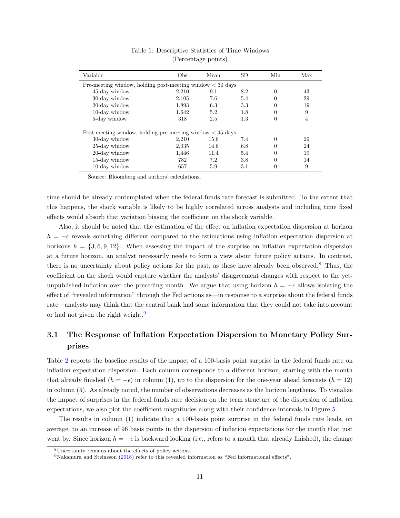<span id="page-11-1"></span>

| Variable                                                      | Obs   | Mean | SD  | Min      | Max |  |  |  |
|---------------------------------------------------------------|-------|------|-----|----------|-----|--|--|--|
| Pre-meeting window, holding post-meeting window $< 30$ days   |       |      |     |          |     |  |  |  |
| 45-day window                                                 | 2.210 | 9.1  | 8.2 | 0        | 43  |  |  |  |
| 30-day window                                                 | 2,105 | 7.6  | 5.4 | $\theta$ | 29  |  |  |  |
| 20-day window                                                 | 1,893 | 6.3  | 3.3 | $\theta$ | 19  |  |  |  |
| $10$ -day window                                              | 1.642 | 5.2  | 1.8 | $\theta$ | 9   |  |  |  |
| 5-day window                                                  | 318   | 2.5  | 1.3 | $\theta$ | 4   |  |  |  |
| Post-meeting window, holding pre-meeting window $\lt 45$ days |       |      |     |          |     |  |  |  |
| 30-day window                                                 | 2.210 | 15.6 | 7.4 | $\theta$ | 29  |  |  |  |
| 25-day window                                                 | 2,035 | 14.6 | 6.8 | $\theta$ | 24  |  |  |  |
| 20-day window                                                 | 1.446 | 11.4 | 5.4 | $\theta$ | 19  |  |  |  |
| $15$ -day window                                              | 782   | 7.2  | 3.8 | $\theta$ | 14  |  |  |  |
| 10-day window                                                 | 657   | 5.9  | 3.1 |          | 9   |  |  |  |

#### Table 1: Descriptive Statistics of Time Windows (Percentage points)

Source: Bloomberg and authors' calculations.

time should be already contemplated when the federal funds rate forecast is submitted. To the extent that this happens, the shock variable is likely to be highly correlated across analysts and including time fixed effects would absorb that variation biasing the coefficient on the shock variable.

Also, it should be noted that the estimation of the effect on inflation expectation dispersion at horizon  $h = -\epsilon$  reveals something different compared to the estimations using inflation expectation dispersion at horizons  $h = \{3, 6, 9, 12\}$ . When assessing the impact of the surprise on inflation expectation dispersion at a future horizon, an analyst necessarily needs to form a view about future policy actions. In contrast, there is no uncertainty about policy actions for the past, as these have already been observed.<sup>[8](#page-11-2)</sup> Thus, the coefficient on the shock would capture whether the analysts' disagreement changes with respect to the yetunpublished inflation over the preceding month. We argue that using horizon  $h = -\epsilon$  allows isolating the effect of "revealed information" through the Fed actions as—in response to a surprise about the federal funds rate—analysts may think that the central bank had some information that they could not take into account or had not given the right weight.<sup>[9](#page-11-3)</sup>

# <span id="page-11-0"></span>3.1 The Response of Inflation Expectation Dispersion to Monetary Policy Surprises

Table [2](#page-13-0) reports the baseline results of the impact of a 100-basis point surprise in the federal funds rate on inflation expectation dispersion. Each column corresponds to a different horizon, starting with the month that already finished  $(h = -\epsilon)$  in column (1), up to the dispersion for the one-year ahead forecasts  $(h = 12)$ in column (5). As already noted, the number of observations decreases as the horizon lengthens. To visualize the impact of surprises in the federal funds rate decision on the term structure of the dispersion of inflation expectations, we also plot the coefficient magnitudes along with their confidence intervals in Figure [5.](#page-14-0)

The results in column (1) indicate that a 100-basis point surprise in the federal funds rate leads, on average, to an increase of 96 basis points in the dispersion of inflation expectations for the month that just went by. Since horizon  $h = -\epsilon$  is backward looking (i.e., refers to a month that already finished), the change

<span id="page-11-2"></span><sup>8</sup>Uncertainty remains about the effects of policy actions.

<span id="page-11-3"></span> $9N$ akamura and Steinsson [\(2018\)](#page-36-4) refer to this revealed information as "Fed informational effects".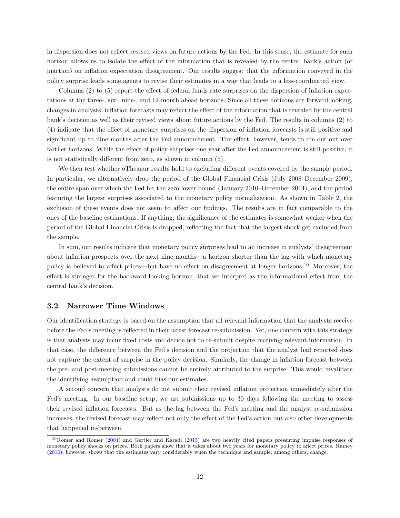in dispersion does not reflect revised views on future actions by the Fed. In this sense, the estimate for such horizon allows us to isolate the effect of the information that is revealed by the central bank's action (or inaction) on inflation expectation disagreement. Our results suggest that the information conveyed in the policy surprise leads some agents to revise their estimates in a way that leads to a less-coordinated view.

Columns (2) to (5) report the effect of federal funds rate surprises on the dispersion of inflation expectations at the three-, six-, nine-, and 12-month ahead horizons. Since all these horizons are forward looking, changes in analysts' inflation forecasts may reflect the effect of the information that is revealed by the central bank's decision as well as their revised views about future actions by the Fed. The results in columns (2) to (4) indicate that the effect of monetary surprises on the dispersion of inflation forecasts is still positive and significant up to nine months after the Fed announcement. The effect, however, tends to die out out over farther horizons. While the effect of policy surprises one year after the Fed announcement is still positive, it is not statistically different from zero, as shown in column (5).

We then test whether oTheaaur results hold to excluding different events covered by the sample period. In particular, we alternatively drop the period of the Global Financial Crisis (July 2008–December 2009), the entire span over which the Fed hit the zero lower bound (January 2010–December 2014), and the period featuring the largest surprises associated to the monetary policy normalization. As shown in Table [2,](#page-13-0) the exclusion of these events does not seem to affect our findings. The results are in fact comparable to the ones of the baseline estimations. If anything, the significance of the estimates is somewhat weaker when the period of the Global Financial Crisis is dropped, reflecting the fact that the largest shock get excluded from the sample.

In sum, our results indicate that monetary policy surprises lead to an increase in analysts' disagreement about inflation prospects over the next nine months—a horizon shorter than the lag with which monetary policy is believed to affect prices—but have no effect on disagreement at longer horizons.<sup>[10](#page-12-1)</sup> Moreover, the effect is stronger for the backward-looking horizon, that we interpret as the informational effect from the central bank's decision.

#### <span id="page-12-0"></span>3.2 Narrower Time Windows

Our identification strategy is based on the assumption that all relevant information that the analysts receive before the Fed's meeting is reflected in their latest forecast re-submission. Yet, one concern with this strategy is that analysts may incur fixed costs and decide not to re-submit despite receiving relevant information. In that case, the difference between the Fed's decision and the projection that the analyst had reported does not capture the extent of surprise in the policy decision. Similarly, the change in inflation forecast between the pre- and post-meeting submissions cannot be entirely attributed to the surprise. This would invalidate the identifying assumption and could bias our estimates.

A second concern that analysts do not submit their revised inflation projection immediately after the Fed's meeting. In our baseline setup, we use submissions up to 30 days following the meeting to assess their revised inflation forecasts. But as the lag between the Fed's meeting and the analyst re-submission increases, the revised forecast may reflect not only the effect of the Fed's action but also other developments that happened in-between.

<span id="page-12-1"></span><sup>10</sup>Romer and Romer [\(2004\)](#page-36-8) and Gertler and Karadi [\(2015\)](#page-35-7) are two heavily cited papers presenting impulse responses of monetary policy shocks on prices. Both papers show that it takes about two years for monetary policy to affect prices. Ramey [\(2016\)](#page-36-9), however, shows that the estimates vary considerably when the technique and sample, among others, change.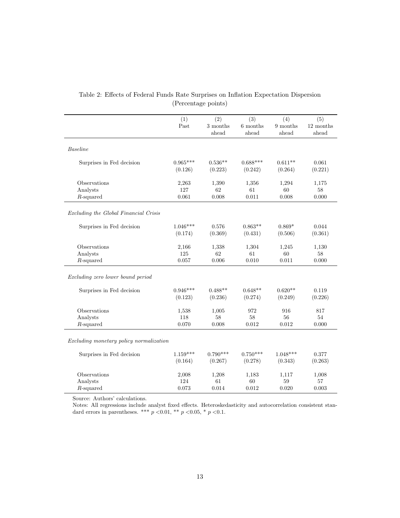<span id="page-13-0"></span>

|                                         | (1)<br>Past | (2)<br>$3$ months $\,$<br>ahead | (3)<br>6 months<br>ahead | (4)<br>$9$ months<br>ahead | (5)<br>12 months<br>ahead |
|-----------------------------------------|-------------|---------------------------------|--------------------------|----------------------------|---------------------------|
| <b>Baseline</b>                         |             |                                 |                          |                            |                           |
| Surprises in Fed decision               | $0.965***$  | $0.536**$                       | $0.688***$               | $0.611**$                  | 0.061                     |
|                                         | (0.126)     | (0.223)                         | (0.242)                  | (0.264)                    | (0.221)                   |
| Observations                            | 2,263       | 1,390                           | 1,356                    | 1,294                      | 1,175                     |
| Analysts                                | 127         | 62                              | 61                       | $60\,$                     | $58\,$                    |
| $R$ -squared                            | 0.061       | 0.008                           | 0.011                    | 0.008                      | 0.000                     |
| Excluding the Global Financial Crisis   |             |                                 |                          |                            |                           |
| Surprises in Fed decision               | $1.046***$  | 0.576                           | $0.863**$                | $0.869*$                   | 0.044                     |
|                                         | (0.174)     | (0.369)                         | (0.431)                  | (0.506)                    | (0.361)                   |
| Observations                            | 2,166       | 1,338                           | 1,304                    | 1,245                      | 1,130                     |
| Analysts                                | 125         | 62                              | 61                       | 60                         | 58                        |
| $R$ -squared                            | 0.057       | 0.006                           | 0.010                    | 0.011                      | 0.000                     |
| Excluding zero lower bound period       |             |                                 |                          |                            |                           |
| Surprises in Fed decision               | $0.946***$  | $0.488**$                       | $0.648**$                | $0.620**$                  | 0.119                     |
|                                         | (0.123)     | (0.236)                         | (0.274)                  | (0.249)                    | (0.226)                   |
| Observations                            | 1,538       | 1,005                           | 972                      | 916                        | 817                       |
| Analysts                                | 118         | 58                              | 58                       | $56\,$                     | 54                        |
| $R$ -squared                            | 0.070       | 0.008                           | 0.012                    | 0.012                      | 0.000                     |
| Excluding monetary policy normalization |             |                                 |                          |                            |                           |
| Surprises in Fed decision               | $1.159***$  | $0.790***$                      | $0.750***$               | $1.048***$                 | 0.377                     |
|                                         | (0.164)     | (0.267)                         | (0.278)                  | (0.343)                    | (0.263)                   |
| Observations                            | 2,008       | 1,208                           | 1,183                    | 1,117                      | 1,008                     |
| Analysts                                | 124         | 61                              | 60                       | 59                         | 57                        |
| $R$ -squared                            | 0.073       | 0.014                           | 0.012                    | 0.020                      | 0.003                     |

## Table 2: Effects of Federal Funds Rate Surprises on Inflation Expectation Dispersion (Percentage points)

Source: Authors' calculations.

Notes: All regressions include analyst fixed effects. Heteroskedasticity and autocorrelation consistent standard errors in parentheses. \*\*\*  $p < 0.01$ , \*\*  $p < 0.05$ , \*  $p < 0.1$ .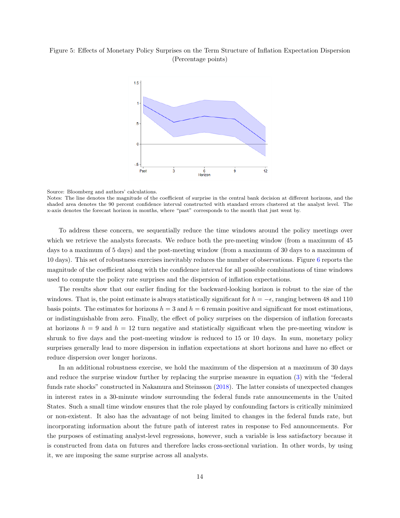#### <span id="page-14-0"></span>Figure 5: Effects of Monetary Policy Surprises on the Term Structure of Inflation Expectation Dispersion (Percentage points)



Source: Bloomberg and authors' calculations.

Notes: The line denotes the magnitude of the coefficient of surprise in the central bank decision at different horizons, and the shaded area denotes the 90 percent confidence interval constructed with standard errors clustered at the analyst level. The x-axis denotes the forecast horizon in months, where "past" corresponds to the month that just went by.

To address these concern, we sequentially reduce the time windows around the policy meetings over which we retrieve the analysts forecasts. We reduce both the pre-meeting window (from a maximum of 45 days to a maximum of 5 days) and the post-meeting window (from a maximum of 30 days to a maximum of 10 days). This set of robustness exercises inevitably reduces the number of observations. Figure [6](#page-15-0) reports the magnitude of the coefficient along with the confidence interval for all possible combinations of time windows used to compute the policy rate surprises and the dispersion of inflation expectations.

The results show that our earlier finding for the backward-looking horizon is robust to the size of the windows. That is, the point estimate is always statistically significant for  $h = -\epsilon$ , ranging between 48 and 110 basis points. The estimates for horizons  $h = 3$  and  $h = 6$  remain positive and significant for most estimations, or indistinguishable from zero. Finally, the effect of policy surprises on the dispersion of inflation forecasts at horizons  $h = 9$  and  $h = 12$  turn negative and statistically significant when the pre-meeting window is shrunk to five days and the post-meeting window is reduced to 15 or 10 days. In sum, monetary policy surprises generally lead to more dispersion in inflation expectations at short horizons and have no effect or reduce dispersion over longer horizons.

In an additional robustness exercise, we hold the maximum of the dispersion at a maximum of 30 days and reduce the surprise window further by replacing the surprise measure in equation [\(3\)](#page-10-2) with the "federal funds rate shocks" constructed in Nakamura and Steinsson [\(2018\)](#page-36-4). The latter consists of unexpected changes in interest rates in a 30-minute window surrounding the federal funds rate announcements in the United States. Such a small time window ensures that the role played by confounding factors is critically minimized or non-existent. It also has the advantage of not being limited to changes in the federal funds rate, but incorporating information about the future path of interest rates in response to Fed announcements. For the purposes of estimating analyst-level regressions, however, such a variable is less satisfactory because it is constructed from data on futures and therefore lacks cross-sectional variation. In other words, by using it, we are imposing the same surprise across all analysts.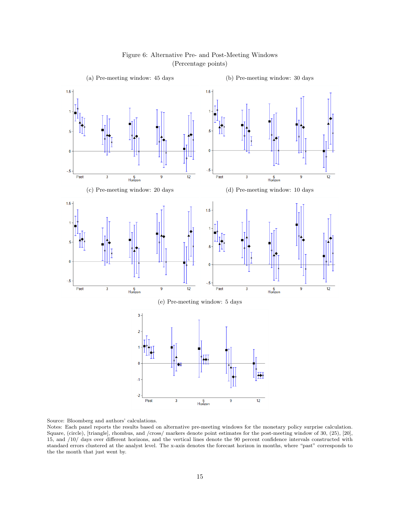<span id="page-15-0"></span>

#### Figure 6: Alternative Pre- and Post-Meeting Windows (Percentage points)

Source: Bloomberg and authors' calculations.

Notes: Each panel reports the results based on alternative pre-meeting windows for the monetary policy surprise calculation. Square, (circle), [triangle], rhombus, and /cross/ markers denote point estimates for the post-meeting window of 30, (25), [20], 15, and /10/ days over different horizons, and the vertical lines denote the 90 percent confidence intervals constructed with standard errors clustered at the analyst level. The x-axis denotes the forecast horizon in months, where "past" corresponds to the the month that just went by.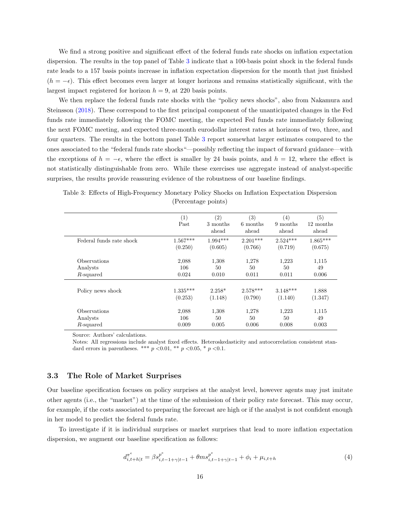We find a strong positive and significant effect of the federal funds rate shocks on inflation expectation dispersion. The results in the top panel of Table [3](#page-16-1) indicate that a 100-basis point shock in the federal funds rate leads to a 157 basis points increase in inflation expectation dispersion for the month that just finished  $(h = -\epsilon)$ . This effect becomes even larger at longer horizons and remains statistically significant, with the largest impact registered for horizon  $h = 9$ , at 220 basis points.

We then replace the federal funds rate shocks with the "policy news shocks", also from Nakamura and Steinsson [\(2018\)](#page-36-4). These correspond to the first principal component of the unanticipated changes in the Fed funds rate immediately following the FOMC meeting, the expected Fed funds rate immediately following the next FOMC meeting, and expected three-month eurodollar interest rates at horizons of two, three, and four quarters. The results in the bottom panel Table [3](#page-16-1) report somewhat larger estimates compared to the ones associated to the "federal funds rate shocks"—possibly reflecting the impact of forward guidance—with the exceptions of  $h = -\epsilon$ , where the effect is smaller by 24 basis points, and  $h = 12$ , where the effect is not statistically distinguishable from zero. While these exercises use aggregate instead of analyst-specific surprises, the results provide reassuring evidence of the robustness of our baseline findings.

|                            | (1)        | (2)        | (3)        | $\left( 4\right)$ | (5)        |
|----------------------------|------------|------------|------------|-------------------|------------|
|                            | Past       | 3 months   | 6 months   | 9 months          | 12 months  |
|                            |            | ahead      | ahead      | ahead             | ahead      |
| Federal funds rate shock   | $1.567***$ | $1.994***$ | $2.201***$ | $2.524***$        | $1.865***$ |
|                            | (0.250)    | (0.605)    | (0.766)    | (0.719)           | (0.675)    |
| <i><b>Observations</b></i> | 2,088      | 1,308      | 1,278      | 1,223             | 1,115      |
| Analysts                   | 106        | 50         | 50         | 50                | 49         |
| R-squared                  | 0.024      | 0.010      | 0.011      | 0.011             | 0.006      |
| Policy news shock          | $1.335***$ | $2.258*$   | $2.578***$ | $3.148***$        | 1.888      |
|                            | (0.253)    | (1.148)    | (0.790)    | (1.140)           | (1.347)    |
| <i><b>Observations</b></i> | 2,088      | 1,308      | 1,278      | 1,223             | 1,115      |
| Analysts                   | 106        | 50         | 50         | 50                | 49         |
| R-squared                  | 0.009      | 0.005      | 0.006      | 0.008             | 0.003      |

<span id="page-16-1"></span>Table 3: Effects of High-Frequency Monetary Policy Shocks on Inflation Expectation Dispersion (Percentage points)

Source: Authors' calculations.

Notes: All regressions include analyst fixed effects. Heteroskedasticity and autocorrelation consistent standard errors in parentheses. \*\*\*  $p < 0.01$ , \*\*  $p < 0.05$ , \*  $p < 0.1$ .

#### <span id="page-16-0"></span>3.3 The Role of Market Surprises

Our baseline specification focuses on policy surprises at the analyst level, however agents may just imitate other agents (i.e., the "market") at the time of the submission of their policy rate forecast. This may occur, for example, if the costs associated to preparing the forecast are high or if the analyst is not confident enough in her model to predict the federal funds rate.

To investigate if it is individual surprises or market surprises that lead to more inflation expectation dispersion, we augment our baseline specification as follows:

<span id="page-16-2"></span>
$$
d_{i,t+h|t}^{\pi^e} = \beta s_{i,t-1+\gamma|t-1}^{p^e} + \theta m s_{i,t-1+\gamma|t-1}^{p^e} + \phi_i + \mu_{i,t+h}
$$
\n<sup>(4)</sup>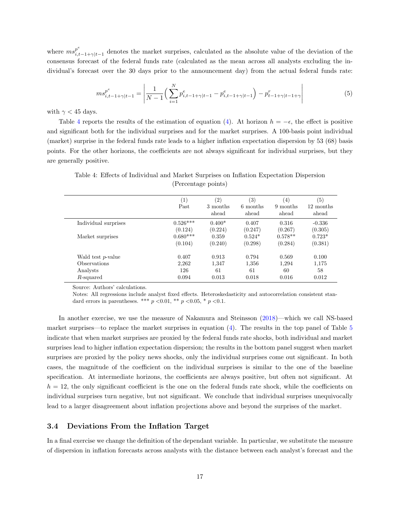where  $ms_{i}^{p^e}$  $\prod_{i,t-1+\gamma|t-1}^{p^*}$  denotes the market surprises, calculated as the absolute value of the deviation of the consensus forecast of the federal funds rate (calculated as the mean across all analysts excluding the individual's forecast over the 30 days prior to the announcement day) from the actual federal funds rate:

$$
ms_{i,t-1+\gamma|t-1}^{p^e} = \left| \frac{1}{N-1} \left( \sum_{i=1}^N p_{i,t-1+\gamma|t-1}^e - p_{i,t-1+\gamma|t-1}^e \right) - p_{t-1+\gamma|t-1+\gamma}^r \right| \tag{5}
$$

with  $\gamma$  < 45 days.

Table [4](#page-17-1) reports the results of the estimation of equation [\(4\)](#page-16-2). At horizon  $h = -\epsilon$ , the effect is positive and significant both for the individual surprises and for the market surprises. A 100-basis point individual (market) surprise in the federal funds rate leads to a higher inflation expectation dispersion by 53 (68) basis points. For the other horizons, the coefficients are not always significant for individual surprises, but they are generally positive.

|                           | $\left( 1\right)$ | $\left( 2\right)$ | (3)               | $\left(4\right)$  | (5)                |
|---------------------------|-------------------|-------------------|-------------------|-------------------|--------------------|
|                           | Past              | 3 months<br>ahead | 6 months<br>ahead | 9 months<br>ahead | 12 months<br>ahead |
| Individual surprises      | $0.526***$        | $0.400*$          | 0.407             | 0.316             | $-0.336$           |
|                           | (0.124)           | (0.224)           | (0.247)           | (0.267)           | (0.305)            |
| Market surprises          | $0.680***$        | 0.359             | $0.524*$          | $0.578**$         | $0.723*$           |
|                           | (0.104)           | (0.240)           | (0.298)           | (0.284)           | (0.381)            |
| Wald test <i>p</i> -value | 0.407             | 0.913             | 0.794             | 0.569             | 0.100              |
| <b>Observations</b>       | 2,262             | 1,347             | 1.356             | 1.294             | 1,175              |
| Analysts                  | 126               | 61                | 61                | 60                | 58                 |
| R-squared                 | 0.094             | 0.013             | 0.018             | 0.016             | 0.012              |

<span id="page-17-1"></span>Table 4: Effects of Individual and Market Surprises on Inflation Expectation Dispersion (Percentage points)

Source: Authors' calculations.

Notes: All regressions include analyst fixed effects. Heteroskedasticity and autocorrelation consistent standard errors in parentheses. \*\*\*  $p < 0.01$ , \*\*  $p < 0.05$ , \*  $p < 0.1$ .

In another exercise, we use the measure of Nakamura and Steinsson [\(2018\)](#page-36-4)—which we call NS-based market surprises—to replace the market surprises in equation  $(4)$ . The results in the top panel of Table [5](#page-18-0) indicate that when market surprises are proxied by the federal funds rate shocks, both individual and market surprises lead to higher inflation expectation dispersion; the results in the bottom panel suggest when market surprises are proxied by the policy news shocks, only the individual surprises come out significant. In both cases, the magnitude of the coefficient on the individual surprises is similar to the one of the baseline specification. At intermediate horizons, the coefficients are always positive, but often not significant. At  $h = 12$ , the only significant coefficient is the one on the federal funds rate shock, while the coefficients on individual surprises turn negative, but not significant. We conclude that individual surprises unequivocally lead to a larger disagreement about inflation projections above and beyond the surprises of the market.

#### <span id="page-17-0"></span>3.4 Deviations From the Inflation Target

In a final exercise we change the definition of the dependant variable. In particular, we substitute the measure of dispersion in inflation forecasts across analysts with the distance between each analyst's forecast and the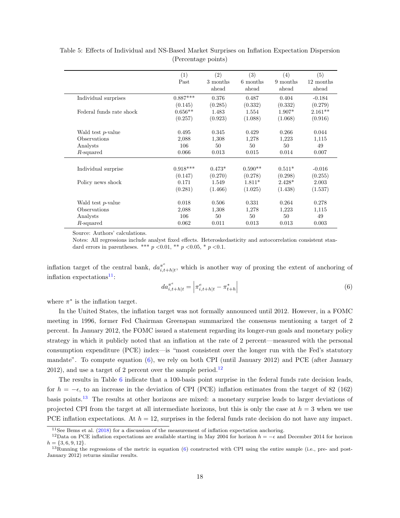|                           | (1)<br>Past      | (2)<br>3 months<br>ahead | (3)<br>6 months<br>ahead | (4)<br>9 months<br>ahead | (5)<br>12 months<br>ahead |
|---------------------------|------------------|--------------------------|--------------------------|--------------------------|---------------------------|
| Individual surprises      | $0.887***$       | 0.376                    | 0.487                    | 0.404                    | $-0.184$                  |
|                           | (0.145)          | (0.285)                  | (0.332)                  | (0.332)                  | (0.279)                   |
| Federal funds rate shock  | $0.656**$        | 1.483                    | 1.554                    | $1.907*$                 | $2.161**$                 |
|                           | (0.257)          | (0.923)                  | (1.088)                  | (1.068)                  | (0.916)                   |
| Wald test <i>p</i> -value | 0.495            | 0.345                    | 0.429                    | 0.266                    | 0.044                     |
| Observations              | 2,088            | 1,308                    | 1,278                    | 1,223                    | 1,115                     |
| Analysts                  | 106              | 50                       | 50                       | 50                       | 49                        |
| $R$ -squared              | 0.066            | 0.013                    | 0.015                    | 0.014                    | 0.007                     |
| Individual surprise       | $0.918***$       | $0.473*$                 | $0.590**$                | $0.511*$                 | $-0.016$                  |
|                           | (0.147)<br>0.171 | (0.270)<br>1.549         | (0.278)<br>$1.811*$      | (0.298)<br>$2.428*$      | (0.255)                   |
| Policy news shock         | (0.281)          | (1.466)                  | (1.025)                  | (1.438)                  | 2.003<br>(1.537)          |
| Wald test <i>p</i> -value | 0.018            | 0.506                    | 0.331                    | 0.264                    | 0.278                     |
| Observations              | 2,088            | 1,308                    | 1,278                    | 1,223                    | 1,115                     |
| Analysts                  | 106              | 50                       | 50                       | 50                       | 49                        |
| $R$ -squared              | 0.062            | 0.011                    | 0.013                    | 0.013                    | 0.003                     |

<span id="page-18-0"></span>Table 5: Effects of Individual and NS-Based Market Surprises on Inflation Expectation Dispersion (Percentage points)

Source: Authors' calculations.

Notes: All regressions include analyst fixed effects. Heteroskedasticity and autocorrelation consistent standard errors in parentheses. \*\*\*  $p < 0.01$ , \*\*  $p < 0.05$ , \*  $p < 0.1$ .

inflation target of the central bank,  $da_{i}^{\pi^{e}}$  $\bar{x}_{i,t+h|t}^{\pi^e}$ , which is another way of proxing the extent of anchoring of inflation expectations $11$ :

<span id="page-18-2"></span>
$$
da_{i,t+h|t}^{\pi^e} = \left| \pi_{i,t+h|t}^e - \pi_{t+h}^* \right| \tag{6}
$$

where  $\pi^*$  is the inflation target.

In the United States, the inflation target was not formally announced until 2012. However, in a FOMC meeting in 1996, former Fed Chairman Greenspan summarized the consensus mentioning a target of 2 percent. In January 2012, the FOMC issued a statement regarding its longer-run goals and monetary policy strategy in which it publicly noted that an inflation at the rate of 2 percent—measured with the personal consumption expenditure (PCE) index—is "most consistent over the longer run with the Fed's statutory mandate". To compute equation [\(6\)](#page-18-2), we rely on both CPI (until January 2012) and PCE (after January 20[12](#page-18-3)), and use a target of 2 percent over the sample period.<sup>12</sup>

The results in Table [6](#page-19-1) indicate that a 100-basis point surprise in the federal funds rate decision leads, for  $h = -\epsilon$ , to an increase in the deviation of CPI (PCE) inflation estimates from the target of 82 (162) basis points.[13](#page-18-4) The results at other horizons are mixed: a monetary surprise leads to larger deviations of projected CPI from the target at all intermediate horizons, but this is only the case at  $h = 3$  when we use PCE inflation expectations. At  $h = 12$ , surprises in the federal funds rate decision do not have any impact.

<span id="page-18-3"></span><span id="page-18-1"></span><sup>&</sup>lt;sup>11</sup>See Bems et al. [\(2018\)](#page-35-2) for a discussion of the measurement of inflation expectation anchoring.

<sup>&</sup>lt;sup>12</sup>Data on PCE inflation expectations are available starting in May 2004 for horizon  $h = -\epsilon$  and December 2014 for horizon  $h = \{3, 6, 9, 12\}.$ 

<span id="page-18-4"></span> $13$ Running the regressions of the metric in equation [\(6\)](#page-18-2) constructed with CPI using the entire sample (i.e., pre- and post-January 2012) returns similar results.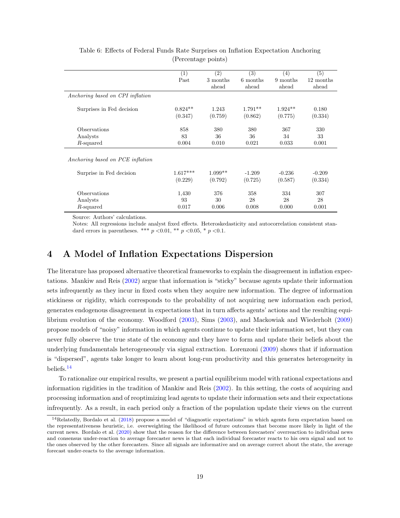<span id="page-19-1"></span>

|                                  | $\left( 1\right)$ | (2)       | $\left( 3\right)$ | $\left(4\right)$ | (5)       |
|----------------------------------|-------------------|-----------|-------------------|------------------|-----------|
|                                  | Past              | 3 months  | 6 months          | 9 months         | 12 months |
|                                  |                   | ahead     | ahead             | ahead            | ahead     |
| Anchoring based on CPI inflation |                   |           |                   |                  |           |
| Surprises in Fed decision        | $0.824**$         | 1.243     | $1.791**$         | $1.924**$        | 0.180     |
|                                  | (0.347)           | (0.759)   | (0.862)           | (0.775)          | (0.334)   |
| Observations                     | 858               | 380       | 380               | 367              | 330       |
| Analysts                         | 83                | 36        | 36                | 34               | 33        |
| R-squared                        | 0.004             | 0.010     | 0.021             | 0.033            | 0.001     |
| Anchoring based on PCE inflation |                   |           |                   |                  |           |
| Surprise in Fed decision         | $1.617***$        | $1.099**$ | $-1.209$          | $-0.236$         | $-0.209$  |
|                                  | (0.229)           | (0.792)   | (0.725)           | (0.587)          | (0.334)   |
| Observations                     | 1,430             | 376       | 358               | 334              | 307       |
| Analysts                         | 93                | 30        | 28                | 28               | 28        |
| R-squared                        | 0.017             | 0.006     | 0.008             | 0.000            | 0.001     |

#### Table 6: Effects of Federal Funds Rate Surprises on Inflation Expectation Anchoring (Percentage points)

Source: Authors' calculations.

Notes: All regressions include analyst fixed effects. Heteroskedasticity and autocorrelation consistent standard errors in parentheses. \*\*\*  $p < 0.01$ , \*\*  $p < 0.05$ , \*  $p < 0.1$ .

# <span id="page-19-0"></span>4 A Model of Inflation Expectations Dispersion

The literature has proposed alternative theoretical frameworks to explain the disagreement in inflation expectations. Mankiw and Reis [\(2002\)](#page-36-2) argue that information is "sticky" because agents update their information sets infrequently as they incur in fixed costs when they acquire new information. The degree of information stickiness or rigidity, which corresponds to the probability of not acquiring new information each period, generates endogenous disagreement in expectations that in turn affects agents' actions and the resulting equilibrium evolution of the economy. Woodford [\(2003\)](#page-36-10), Sims [\(2003\)](#page-36-6), and Mackowiak and Wiederholt [\(2009\)](#page-36-11) propose models of "noisy" information in which agents continue to update their information set, but they can never fully observe the true state of the economy and they have to form and update their beliefs about the underlying fundamentals heterogeneously via signal extraction. Lorenzoni [\(2009\)](#page-36-12) shows that if information is "dispersed", agents take longer to learn about long-run productivity and this generates heterogeneity in beliefs.[14](#page-19-2)

To rationalize our empirical results, we present a partial equilibrium model with rational expectations and information rigidities in the tradition of Mankiw and Reis [\(2002\)](#page-36-2). In this setting, the costs of acquiring and processing information and of reoptimizing lead agents to update their information sets and their expectations infrequently. As a result, in each period only a fraction of the population update their views on the current

<span id="page-19-2"></span><sup>14</sup>Relatedly, Bordalo et al. [\(2018\)](#page-35-16) propose a model of "diagnostic expectations" in which agents form expectation based on the representativeness heuristic, i.e. overweighting the likelihood of future outcomes that become more likely in light of the current news. Bordalo et al. [\(2020\)](#page-35-17) show that the reason for the difference between forecasters' overreaction to individual news and consensus under-reaction to average forecaster news is that each individual forecaster reacts to his own signal and not to the ones observed by the other forecasters. Since all signals are informative and on average correct about the state, the average forecast under-reacts to the average information.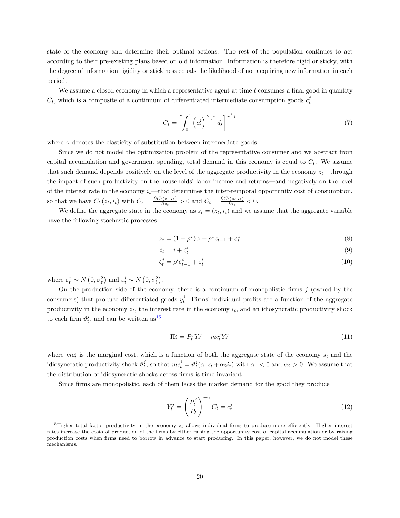state of the economy and determine their optimal actions. The rest of the population continues to act according to their pre-existing plans based on old information. Information is therefore rigid or sticky, with the degree of information rigidity or stickiness equals the likelihood of not acquiring new information in each period.

We assume a closed economy in which a representative agent at time  $t$  consumes a final good in quantity  $C_t$ , which is a composite of a continuum of differentiated intermediate consumption goods  $c_t^j$ 

$$
C_t = \left[ \int_0^1 \left( c_t^j \right)^{\frac{\gamma - 1}{\gamma}} dj \right]^{\frac{\gamma}{\gamma - 1}} \tag{7}
$$

where  $\gamma$  denotes the elasticity of substitution between intermediate goods.

Since we do not model the optimization problem of the representative consumer and we abstract from capital accumulation and government spending, total demand in this economy is equal to  $C_t$ . We assume that such demand depends positively on the level of the aggregate productivity in the economy  $z_t$ —through the impact of such productivity on the households' labor income and returns—and negatively on the level of the interest rate in the economy  $i_t$ —that determines the inter-temporal opportunity cost of consumption, so that we have  $C_t(z_t, i_t)$  with  $C_z = \frac{\partial C_t(z_t, i_t)}{\partial z_t}$  $\frac{\partial c_i(z_t, i_t)}{\partial z_t} > 0$  and  $C_i = \frac{\partial C_t(z_t, i_t)}{\partial i_t}$  $\frac{\partial \overline{z_t, i_t}}{\partial i_t} < 0.$ 

We define the aggregate state in the economy as  $s_t = (z_t, i_t)$  and we assume that the aggregate variable have the following stochastic processes

$$
z_t = (1 - \rho^z) \overline{z} + \rho^z z_{t-1} + \varepsilon_t^z \tag{8}
$$

$$
i_t = \bar{i} + \zeta_t^i \tag{9}
$$

$$
\zeta_t^i = \rho^i \zeta_{t-1}^i + \varepsilon_t^i \tag{10}
$$

where  $\varepsilon_t^z \sim N(0, \sigma_z^2)$  and  $\varepsilon_t^i \sim N(0, \sigma_i^2)$ .

On the production side of the economy, there is a continuum of monopolistic firms  $j$  (owned by the consumers) that produce differentiated goods  $y_t^j$ . Firms' individual profits are a function of the aggregate productivity in the economy  $z_t$ , the interest rate in the economy  $i_t$ , and an idiosyncratic productivity shock to each firm  $\vartheta_t^j$ , and can be written as<sup>[15](#page-20-0)</sup>

$$
\Pi_t^j = P_t^j Y_t^j - mc_t^j Y_t^j \tag{11}
$$

where  $mc_t^j$  is the marginal cost, which is a function of both the aggregate state of the economy  $s_t$  and the idiosyncratic productivity shock  $\vartheta_t^j$ , so that  $mc_t^j = \vartheta_t^j(\alpha_1 z_t + \alpha_2 i_t)$  with  $\alpha_1 < 0$  and  $\alpha_2 > 0$ . We assume that the distribution of idiosyncratic shocks across firms is time-invariant.

Since firms are monopolistic, each of them faces the market demand for the good they produce

$$
Y_t^j = \left(\frac{P_t^j}{P_t}\right)^{-\gamma} C_t = c_t^j \tag{12}
$$

<span id="page-20-0"></span><sup>&</sup>lt;sup>15</sup>Higher total factor productivity in the economy  $z_t$  allows individual firms to produce more efficiently. Higher interest rates increase the costs of production of the firms by either raising the opportunity cost of capital accumulation or by raising production costs when firms need to borrow in advance to start producing. In this paper, however, we do not model these mechanisms.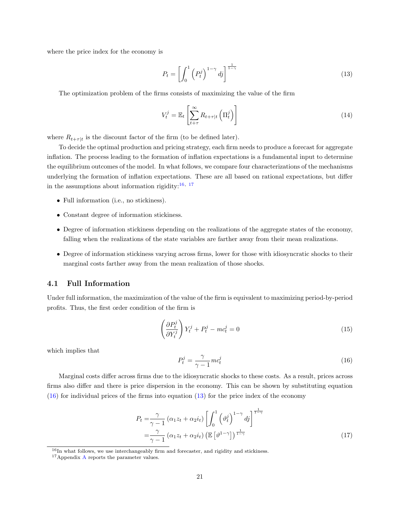where the price index for the economy is

<span id="page-21-4"></span>
$$
P_t = \left[ \int_0^1 \left( P_t^j \right)^{1-\gamma} dy \right]^{1-\gamma} \tag{13}
$$

The optimization problem of the firms consists of maximizing the value of the firm

$$
V_t^j = \mathbb{E}_t \left[ \sum_{t+\tau}^{\infty} R_{t+\tau|t} \left( \Pi_t^j \right) \right] \tag{14}
$$

where  $R_{t+\tau|t}$  is the discount factor of the firm (to be defined later).

To decide the optimal production and pricing strategy, each firm needs to produce a forecast for aggregate inflation. The process leading to the formation of inflation expectations is a fundamental input to determine the equilibrium outcomes of the model. In what follows, we compare four characterizations of the mechanisms underlying the formation of inflation expectations. These are all based on rational expectations, but differ in the assumptions about information rigidity:  $^{16,\ 17}$  $^{16,\ 17}$  $^{16,\ 17}$  $^{16,\ 17}$  $^{16,\ 17}$ 

- Full information (i.e., no stickiness).
- Constant degree of information stickiness.
- Degree of information stickiness depending on the realizations of the aggregate states of the economy, falling when the realizations of the state variables are farther away from their mean realizations.
- Degree of information stickiness varying across firms, lower for those with idiosyncratic shocks to their marginal costs farther away from the mean realization of those shocks.

#### <span id="page-21-0"></span>4.1 Full Information

Under full information, the maximization of the value of the firm is equivalent to maximizing period-by-period profits. Thus, the first order condition of the firm is

$$
\left(\frac{\partial P_t^j}{\partial Y_t^j}\right) Y_t^j + P_t^j - mc_t^j = 0\tag{15}
$$

<span id="page-21-3"></span>which implies that

$$
P_t^j = \frac{\gamma}{\gamma - 1} m c_t^j \tag{16}
$$

Marginal costs differ across firms due to the idiosyncratic shocks to these costs. As a result, prices across firms also differ and there is price dispersion in the economy. This can be shown by substituting equation  $(16)$  for individual prices of the firms into equation  $(13)$  for the price index of the economy

$$
P_t = \frac{\gamma}{\gamma - 1} \left( \alpha_1 z_t + \alpha_2 i_t \right) \left[ \int_0^1 \left( \vartheta_t^j \right)^{1 - \gamma} d_j \right]^{1 - \gamma}
$$
  
= 
$$
\frac{\gamma}{\gamma - 1} \left( \alpha_1 z_t + \alpha_2 i_t \right) \left( \mathbb{E} \left[ \vartheta^{1 - \gamma} \right] \right)^{1 - \gamma}
$$
 (17)

<span id="page-21-1"></span><sup>&</sup>lt;sup>16</sup>In what follows, we use interchangeably firm and forecaster, and rigidity and stickiness.

<span id="page-21-2"></span><sup>17</sup>Appendix [A](#page-37-0) reports the parameter values.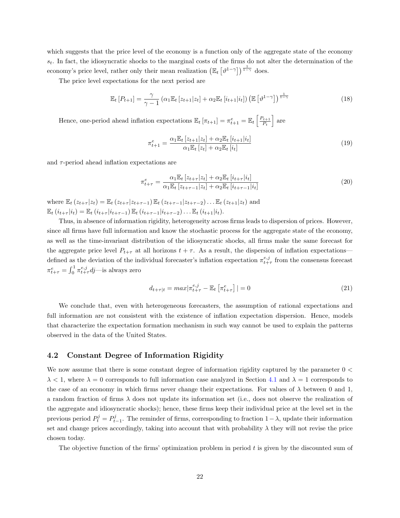which suggests that the price level of the economy is a function only of the aggregate state of the economy  $s_t$ . In fact, the idiosyncratic shocks to the marginal costs of the firms do not alter the determination of the economy's price level, rather only their mean realization  $(\mathbb{E}_t \left[ \vartheta^{1-\gamma} \right])^{\frac{1}{1-\gamma}}$  does.

The price level expectations for the next period are

$$
\mathbb{E}_{t}\left[P_{t+1}\right] = \frac{\gamma}{\gamma - 1}\left(\alpha_{1}\mathbb{E}_{t}\left[z_{t+1}|z_{t}\right] + \alpha_{2}\mathbb{E}_{t}\left[i_{t+1}|i_{t}\right]\right)\left(\mathbb{E}\left[\vartheta^{1-\gamma}\right]\right)^{\frac{1}{1-\gamma}}
$$
\n(18)

Hence, one-period ahead inflation expectations  $\mathbb{E}_t [\pi_{t+1}] = \pi_{t+1}^e = \mathbb{E}_t \left[ \frac{P_{t+1}}{P_t} \right]$  $\frac{P_{t+1}}{P_t}$  are

$$
\pi_{t+1}^e = \frac{\alpha_1 \mathbb{E}_t [z_{t+1}|z_t] + \alpha_2 \mathbb{E}_t [i_{t+1}|i_t]}{\alpha_1 \mathbb{E}_t [z_t] + \alpha_2 \mathbb{E}_t [i_t]} \tag{19}
$$

and  $\tau$ -period ahead inflation expectations are

$$
\pi_{t+\tau}^{e} = \frac{\alpha_{1} \mathbb{E}_{t} \left[ z_{t+\tau} | z_{t} \right] + \alpha_{2} \mathbb{E}_{t} \left[ i_{t+\tau} | i_{t} \right]}{\alpha_{1} \mathbb{E}_{t} \left[ z_{t+\tau-1} | z_{t} \right] + \alpha_{2} \mathbb{E}_{t} \left[ i_{t+\tau-1} | i_{t} \right]}
$$
(20)

where  $\mathbb{E}_{t}(z_{t+\tau} | z_{t}) = \mathbb{E}_{t}(z_{t+\tau} | z_{t+\tau-1}) \mathbb{E}_{t}(z_{t+\tau-1} | z_{t+\tau-2}) \dots \mathbb{E}_{t}(z_{t+1} | z_{t})$  and  $\mathbb{E}_{t} (i_{t+\tau} | i_{t}) = \mathbb{E}_{t} (i_{t+\tau} | i_{t+\tau-1}) \mathbb{E}_{t} (i_{t+\tau-1} | i_{t+\tau-2}) \dots \mathbb{E}_{t} (i_{t+1} | i_{t}).$ 

Thus, in absence of information rigidity, heterogeneity across firms leads to dispersion of prices. However, since all firms have full information and know the stochastic process for the aggregate state of the economy, as well as the time-invariant distribution of the idiosyncratic shocks, all firms make the same forecast for the aggregate price level  $P_{t+\tau}$  at all horizons  $t + \tau$ . As a result, the dispersion of inflation expectations defined as the deviation of the individual forecaster's inflation expectation  $\pi_{t+\tau}^{e,j}$  from the consensus forecast  $\pi_{t+\tau}^e = \int_0^1 \pi_{t+\tau}^{e,j} dj$ —is always zero

$$
d_{t+\tau|t} = max|\pi_{t+\tau}^{e,j} - \mathbb{E}_t \left[ \pi_{t+\tau}^e \right]| = 0 \tag{21}
$$

We conclude that, even with heterogeneous forecasters, the assumption of rational expectations and full information are not consistent with the existence of inflation expectation dispersion. Hence, models that characterize the expectation formation mechanism in such way cannot be used to explain the patterns observed in the data of the United States.

#### <span id="page-22-0"></span>4.2 Constant Degree of Information Rigidity

We now assume that there is some constant degree of information rigidity captured by the parameter  $0 <$  $\lambda < 1$ , where  $\lambda = 0$  corresponds to full information case analyzed in Section [4.1](#page-21-0) and  $\lambda = 1$  corresponds to the case of an economy in which firms never change their expectations. For values of  $\lambda$  between 0 and 1, a random fraction of firms  $\lambda$  does not update its information set (i.e., does not observe the realization of the aggregate and idiosyncratic shocks); hence, these firms keep their individual price at the level set in the previous period  $P_t^j = P_{t-1}^j$ . The reminder of firms, corresponding to fraction  $1-\lambda$ , update their information set and change prices accordingly, taking into account that with probability  $\lambda$  they will not revise the price chosen today.

The objective function of the firms' optimization problem in period  $t$  is given by the discounted sum of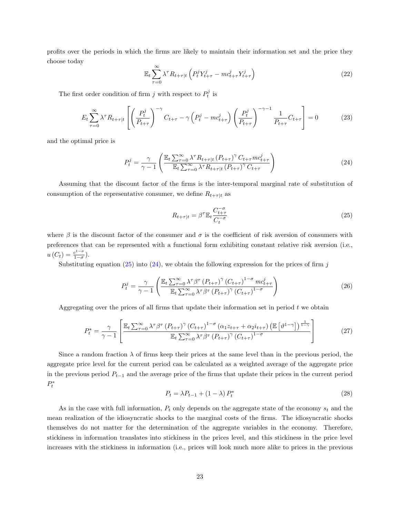profits over the periods in which the firms are likely to maintain their information set and the price they choose today

$$
\mathbb{E}_t \sum_{\tau=0}^{\infty} \lambda^{\tau} R_{t+\tau|t} \left( P_t^j Y_{t+\tau}^j - mc_{t+\tau}^j Y_{t+\tau}^j \right) \tag{22}
$$

The first order condition of firm  $j$  with respect to  $P_t^j$  is

$$
E_t \sum_{\tau=0}^{\infty} \lambda^{\tau} R_{t+\tau|t} \left[ \left( \frac{P_t^j}{P_{t+\tau}} \right)^{-\gamma} C_{t+\tau} - \gamma \left( P_t^j - mc_{t+\tau}^j \right) \left( \frac{P_t^j}{P_{t+\tau}} \right)^{-\gamma-1} \frac{1}{P_{t+\tau}} C_{t+\tau} \right] = 0 \tag{23}
$$

and the optimal price is

<span id="page-23-1"></span>
$$
P_t^j = \frac{\gamma}{\gamma - 1} \left( \frac{\mathbb{E}_t \sum_{\tau=0}^{\infty} \lambda^{\tau} R_{t+\tau|t} \left( P_{t+\tau} \right)^{\gamma} C_{t+\tau} m c_{t+\tau}^j}{\mathbb{E}_t \sum_{\tau=0}^{\infty} \lambda^{\tau} R_{t+\tau|t} \left( P_{t+\tau} \right)^{\gamma} C_{t+\tau}} \right)
$$
(24)

Assuming that the discount factor of the firms is the inter-temporal marginal rate of substitution of consumption of the representative consumer, we define  $R_{t+\tau|t}$  as

<span id="page-23-0"></span>
$$
R_{t+\tau|t} = \beta^{\tau} \mathbb{E}_t \frac{C_{t+\tau}^{-\sigma}}{C_t^{-\sigma}}
$$
\n(25)

where  $\beta$  is the discount factor of the consumer and  $\sigma$  is the coefficient of risk aversion of consumers with preferences that can be represented with a functional form exhibiting constant relative risk aversion (i.e.,  $u(C_t) = \frac{c^{1-\sigma}}{1-\sigma}$  $rac{c^{1-\sigma}}{1-\sigma}$ ).

Substituting equation [\(25\)](#page-23-0) into [\(24\)](#page-23-1), we obtain the following expression for the prices of firm j

$$
P_t^j = \frac{\gamma}{\gamma - 1} \left( \frac{\mathbb{E}_t \sum_{\tau=0}^{\infty} \lambda^{\tau} \beta^{\tau} \left( P_{t+\tau} \right)^{\gamma} \left( C_{t+\tau} \right)^{1-\sigma} m c_{t+\tau}^j}{\mathbb{E}_t \sum_{\tau=0}^{\infty} \lambda^{\tau} \beta^{\tau} \left( P_{t+\tau} \right)^{\gamma} \left( C_{t+\tau} \right)^{1-\sigma}} \right)
$$
(26)

Aggregating over the prices of all firms that update their information set in period  $t$  we obtain

$$
P_t^* = \frac{\gamma}{\gamma - 1} \left[ \frac{\mathbb{E}_t \sum_{\tau=0}^{\infty} \lambda^{\tau} \beta^{\tau} \left( P_{t+\tau} \right)^{\gamma} \left( C_{t+\tau} \right)^{1-\sigma} \left( \alpha_1 z_{t+\tau} + \alpha_2 i_{t+\tau} \right) \left( \mathbb{E} \left[ \vartheta^{1-\gamma} \right] \right)^{\frac{1}{1-\gamma}}}{\mathbb{E}_t \sum_{\tau=0}^{\infty} \lambda^{\tau} \beta^{\tau} \left( P_{t+\tau} \right)^{\gamma} \left( C_{t+\tau} \right)^{1-\sigma}} \right] \tag{27}
$$

Since a random fraction  $\lambda$  of firms keep their prices at the same level than in the previous period, the aggregate price level for the current period can be calculated as a weighted average of the aggregate price in the previous period  $P_{t-1}$  and the average price of the firms that update their prices in the current period  $P_t^*$ 

$$
P_t = \lambda P_{t-1} + (1 - \lambda) P_t^*
$$
\n<sup>(28)</sup>

As in the case with full information,  $P_t$  only depends on the aggregate state of the economy  $s_t$  and the mean realization of the idiosyncratic shocks to the marginal costs of the firms. The idiosyncratic shocks themselves do not matter for the determination of the aggregate variables in the economy. Therefore, stickiness in information translates into stickiness in the prices level, and this stickiness in the price level increases with the stickiness in information (i.e., prices will look much more alike to prices in the previous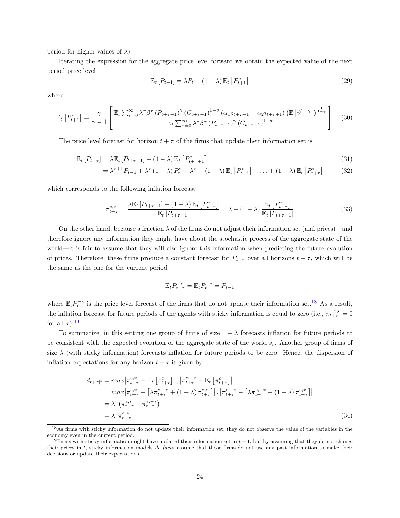period for higher values of  $\lambda$ ).

Iterating the expression for the aggregate price level forward we obtain the expected value of the next period price level

$$
\mathbb{E}_t [P_{t+1}] = \lambda P_t + (1 - \lambda) \mathbb{E}_t [P_{t+1}^*]
$$
\n(29)

where

$$
\mathbb{E}_{t}\left[P_{t+1}^{*}\right] = \frac{\gamma}{\gamma - 1}\left[\frac{\mathbb{E}_{t}\sum_{\tau=0}^{\infty}\lambda^{\tau}\beta^{\tau}\left(P_{t+\tau+1}\right)^{\gamma}\left(C_{t+\tau+1}\right)^{1-\sigma}\left(\alpha_{1}z_{t+\tau+1}+\alpha_{2}i_{t+\tau+1}\right)\left(\mathbb{E}\left[\vartheta^{1-\gamma}\right]\right)^{\frac{1}{1-\gamma}}}{\mathbb{E}_{t}\sum_{\tau=0}^{\infty}\lambda^{\tau}\beta^{\tau}\left(P_{t+\tau+1}\right)^{\gamma}\left(C_{t+\tau+1}\right)^{1-\sigma}}\right]\tag{30}
$$

The price level forecast for horizon  $t + \tau$  of the firms that update their information set is

$$
\mathbb{E}_t\left[P_{t+\tau}\right] = \lambda \mathbb{E}_t\left[P_{t+\tau-1}\right] + (1-\lambda)\mathbb{E}_t\left[P_{t+\tau+1}^*\right] \tag{31}
$$

$$
= \lambda^{\tau+1} P_{t-1} + \lambda^{\tau} (1 - \lambda) P_t^* + \lambda^{\tau-1} (1 - \lambda) \mathbb{E}_t [P_{t+1}^*] + \ldots + (1 - \lambda) \mathbb{E}_t [P_{t+\tau}^*]
$$
(32)

which corresponds to the following inflation forecast

$$
\pi_{t+\tau}^{e,*} = \frac{\lambda \mathbb{E}_t \left[ P_{t+\tau-1} \right] + (1-\lambda) \mathbb{E}_t \left[ P_{t+\tau}^* \right]}{\mathbb{E}_t \left[ P_{t+\tau-1} \right]} = \lambda + (1-\lambda) \frac{\mathbb{E}_t \left[ P_{t+\tau}^* \right]}{\mathbb{E}_t \left[ P_{t+\tau-1} \right]}
$$
(33)

On the other hand, because a fraction  $\lambda$  of the firms do not adjust their information set (and prices)—and therefore ignore any information they might have about the stochastic process of the aggregate state of the world—it is fair to assume that they will also ignore this information when predicting the future evolution of prices. Therefore, these firms produce a constant forecast for  $P_{t+\tau}$  over all horizons  $t+\tau$ , which will be the same as the one for the current period

<span id="page-24-2"></span>
$$
\mathbb{E}_t P_{t+\tau}^{-*} = \mathbb{E}_t P_t^{-*} = P_{t-1}
$$

where  $\mathbb{E}_t P_t^{-*}$  is the price level forecast of the firms that do not update their information set.<sup>[18](#page-24-0)</sup> As a result, the inflation forecast for future periods of the agents with sticky information is equal to zero (i.e.,  $\pi_{t+\tau}^{-*,e} = 0$ for all  $\tau$ ).<sup>[19](#page-24-1)</sup>

To summarize, in this setting one group of firms of size  $1 - \lambda$  forecasts inflation for future periods to be consistent with the expected evolution of the aggregate state of the world  $s_t$ . Another group of firms of size  $\lambda$  (with sticky information) forecasts inflation for future periods to be zero. Hence, the dispersion of inflation expectations for any horizon  $t + \tau$  is given by

$$
d_{t+\tau|t} = max \left| \pi_{t+\tau}^{e,*} - \mathbb{E}_t \left[ \pi_{t+\tau}^{e} \right] \right|, \left| \pi_{t+\tau}^{e,-*} - \mathbb{E}_t \left[ \pi_{t+\tau}^{e} \right] \right|
$$
  
\n
$$
= max \left| \pi_{t+\tau}^{e,*} - \left[ \lambda \pi_{t+\tau}^{e,-*} + (1-\lambda) \pi_{t+\tau}^{e,*} \right] \right|, \left| \pi_{t+\tau}^{e,-*} - \left[ \lambda \pi_{t+\tau}^{e,-*} + (1-\lambda) \pi_{t+\tau}^{e,*} \right] \right|
$$
  
\n
$$
= \lambda \left| \pi_{t+\tau}^{e,*} - \pi_{t+\tau}^{e,-*} \right|
$$
  
\n
$$
= \lambda \left| \pi_{t+\tau}^{e,*} \right|
$$
  
\n(34)

<span id="page-24-0"></span><sup>&</sup>lt;sup>18</sup>As firms with sticky information do not update their information set, they do not observe the value of the variables in the economy even in the current period.

<span id="page-24-1"></span><sup>&</sup>lt;sup>19</sup>Firms with sticky information might have updated their information set in  $t - 1$ , but by assuming that they do not change their prices in t, sticky information models de facto assume that those firms do not use any past information to make their decisions or update their expectations.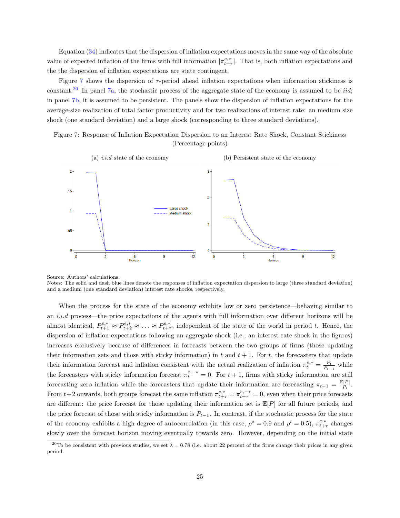Equation [\(34\)](#page-24-2) indicates that the dispersion of inflation expectations moves in the same way of the absolute value of expected inflation of the firms with full information  $|\pi^{e,*}_{t+\tau}|$ . That is, both inflation expectations and the the dispersion of inflation expectations are state contingent.

Figure [7](#page-25-0) shows the dispersion of  $\tau$ -period ahead inflation expectations when information stickiness is constant.<sup>[20](#page-25-1)</sup> In panel [7a,](#page-25-0) the stochastic process of the aggregate state of the economy is assumed to be *iid*; in panel [7b,](#page-25-0) it is assumed to be persistent. The panels show the dispersion of inflation expectations for the average-size realization of total factor productivity and for two realizations of interest rate: an medium size shock (one standard deviation) and a large shock (corresponding to three standard deviations).

<span id="page-25-0"></span>Figure 7: Response of Inflation Expectation Dispersion to an Interest Rate Shock, Constant Stickiness (Percentage points)



Source: Authors' calculations.

Notes: The solid and dash blue lines denote the responses of inflation expectation dispersion to large (three standard deviation) and a medium (one standard deviation) interest rate shocks, respectively.

When the process for the state of the economy exhibits low or zero persistence—behaving similar to an i.i.d process—the price expectations of the agents with full information over different horizons will be almost identical,  $P_{t+1}^{e,*} \approx P_{t+2}^{e,*} \approx \ldots \approx P_{t+\tau}^{e,*}$ , independent of the state of the world in period t. Hence, the dispersion of inflation expectations following an aggregate shock (i.e., an interest rate shock in the figures) increases exclusively because of differences in forecasts between the two groups of firms (those updating their information sets and those with sticky information) in  $t$  and  $t + 1$ . For  $t$ , the forecasters that update their information forecast and inflation consistent with the actual realization of inflation  $\pi_t^{e,*} = \frac{P_t}{P_{t-1}}$  while the forecasters with sticky information forecast  $\pi_t^{e,-*} = 0$ . For  $t + 1$ , firms with sticky information are still forecasting zero inflation while the forecasters that update their information are forecasting  $\pi_{t+1} = \frac{\mathbb{E}[P]}{P_t}$  $\frac{P[T]}{P_t}$ . From  $t+2$  onwards, both groups forecast the same inflation  $\pi_{t+\tau}^{e,*} = \pi_{t+\tau}^{e,-*} = 0$ , even when their price forecasts are different: the price forecast for those updating their information set is  $\mathbb{E}[P]$  for all future periods, and the price forecast of those with sticky information is  $P_{t-1}$ . In contrast, if the stochastic process for the state of the economy exhibits a high degree of autocorrelation (in this case,  $\rho^z = 0.9$  and  $\rho^i = 0.5$ ),  $\pi_{t+\tau}^{e,*}$  changes slowly over the forecast horizon moving eventually towards zero. However, depending on the initial state

<span id="page-25-1"></span><sup>&</sup>lt;sup>20</sup>To be consistent with previous studies, we set  $\lambda = 0.78$  (i.e. about 22 percent of the firms change their prices in any given period.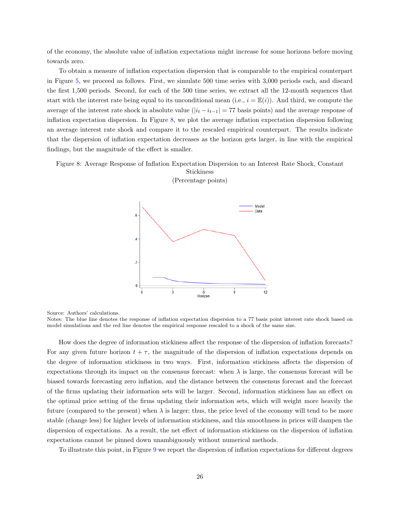of the economy, the absolute value of inflation expectations might increase for some horizons before moving towards zero.

To obtain a measure of inflation expectation dispersion that is comparable to the empirical counterpart in Figure [5,](#page-14-0) we proceed as follows. First, we simulate 500 time series with 3,000 periods each, and discard the first 1,500 periods. Second, for each of the 500 time series, we extract all the 12-month sequences that start with the interest rate being equal to its unconditional mean (i.e.,  $i = \mathbb{E}(i)$ ). And third, we compute the average of the interest rate shock in absolute value  $(|i_t - i_{t-1}| = 77$  basis points) and the average response of inflation expectation dispersion. In Figure [8,](#page-26-0) we plot the average inflation expectation dispersion following an average interest rate shock and compare it to the rescaled empirical counterpart. The results indicate that the dispersion of inflation expectation decreases as the horizon gets larger, in line with the empirical findings, but the magnitude of the effect is smaller.

<span id="page-26-0"></span>Figure 8: Average Response of Inflation Expectation Dispersion to an Interest Rate Shock, Constant Stickiness



(Percentage points)

Source: Authors' calculations.

Notes: The blue line denotes the response of inflation expectation dispersion to a 77 basis point interest rate shock based on model simulations and the red line denotes the empirical response rescaled to a shock of the same size.

How does the degree of information stickiness affect the response of the dispersion of inflation forecasts? For any given future horizon  $t + \tau$ , the magnitude of the dispersion of inflation expectations depends on the degree of information stickiness in two ways. First, information stickiness affects the dispersion of expectations through its impact on the consensus forecast: when  $\lambda$  is large, the consensus forecast will be biased towards forecasting zero inflation, and the distance between the consensus forecast and the forecast of the firms updating their information sets will be larger. Second, information stickiness has an effect on the optimal price setting of the firms updating their information sets, which will weight more heavily the future (compared to the present) when  $\lambda$  is larger; thus, the price level of the economy will tend to be more stable (change less) for higher levels of information stickiness, and this smoothness in prices will dampen the dispersion of expectations. As a result, the net effect of information stickiness on the dispersion of inflation expectations cannot be pinned down unambiguously without numerical methods.

To illustrate this point, in Figure [9](#page-27-1) we report the dispersion of inflation expectations for different degrees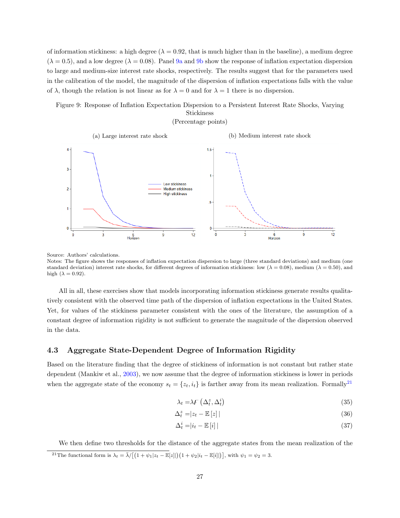of information stickiness: a high degree ( $\lambda = 0.92$ , that is much higher than in the baseline), a medium degree  $(\lambda = 0.5)$ , and a low degree  $(\lambda = 0.08)$ . Panel [9a](#page-27-1) and [9b](#page-27-1) show the response of inflation expectation dispersion to large and medium-size interest rate shocks, respectively. The results suggest that for the parameters used in the calibration of the model, the magnitude of the dispersion of inflation expectations falls with the value of  $\lambda$ , though the relation is not linear as for  $\lambda = 0$  and for  $\lambda = 1$  there is no dispersion.

#### <span id="page-27-1"></span>Figure 9: Response of Inflation Expectation Dispersion to a Persistent Interest Rate Shocks, Varying Stickiness



Source: Authors' calculations.

Notes: The figure shows the responses of inflation expectation dispersion to large (three standard deviations) and medium (one standard deviation) interest rate shocks, for different degrees of information stickiness: low ( $\lambda = 0.08$ ), medium ( $\lambda = 0.50$ ), and high  $(\lambda = 0.92)$ .

All in all, these exercises show that models incorporating information stickiness generate results qualitatively consistent with the observed time path of the dispersion of inflation expectations in the United States. Yet, for values of the stickiness parameter consistent with the ones of the literature, the assumption of a constant degree of information rigidity is not sufficient to generate the magnitude of the dispersion observed in the data.

#### <span id="page-27-0"></span>4.3 Aggregate State-Dependent Degree of Information Rigidity

Based on the literature finding that the degree of stickiness of information is not constant but rather state dependent (Mankiw et al., [2003\)](#page-36-1), we now assume that the degree of information stickiness is lower in periods when the aggregate state of the economy  $s_t = \{z_t, i_t\}$  is farther away from its mean realization. Formally<sup>[21](#page-27-2)</sup>

$$
\lambda_t = \lambda \mathcal{F}\left(\Delta_t^z, \Delta_t^i\right) \tag{35}
$$

$$
\Delta_t^z = |z_t - \mathbb{E}[z]| \tag{36}
$$

$$
\Delta_t^i = |i_t - \mathbb{E}[i]| \tag{37}
$$

<span id="page-27-2"></span>We then define two thresholds for the distance of the aggregate states from the mean realization of the <sup>21</sup>The functional form is  $\lambda_t = \overline{\lambda}/[(1 + \psi_1|z_t - \mathbb{E}[z]]) (1 + \psi_2|i_t - \mathbb{E}[i]])$ , with  $\psi_1 = \psi_2 = 3$ .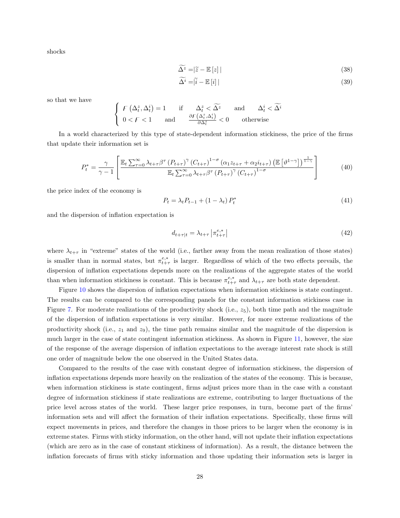shocks

$$
\widetilde{\Delta^z} = |\widetilde{z} - \mathbb{E}\left[z\right]| \tag{38}
$$

$$
\Delta^i = |\tilde{i} - \mathbb{E}[i]| \tag{39}
$$

so that we have

$$
\begin{cases}\nF(\Delta_t^z, \Delta_t^i) = 1 & \text{if } \Delta_t^z < \widetilde{\Delta^z} \text{ and } \Delta_t^i < \widetilde{\Delta^i} \\
0 < F < 1 \text{ and } \frac{\partial F(\Delta_t^z, \Delta_t^i)}{\partial \Delta_t^z} < 0 \text{ otherwise}\n\end{cases}
$$

In a world characterized by this type of state-dependent information stickiness, the price of the firms that update their information set is

$$
P_t^* = \frac{\gamma}{\gamma - 1} \left[ \frac{\mathbb{E}_t \sum_{\tau=0}^{\infty} \lambda_{t+\tau} \beta^{\tau} \left( P_{t+\tau} \right)^{\gamma} \left( C_{t+\tau} \right)^{1-\sigma} \left( \alpha_1 z_{t+\tau} + \alpha_2 i_{t+\tau} \right) \left( \mathbb{E} \left[ \vartheta^{1-\gamma} \right] \right)^{\frac{1}{1-\gamma}}}{\mathbb{E}_t \sum_{\tau=0}^{\infty} \lambda_{t+\tau} \beta^{\tau} \left( P_{t+\tau} \right)^{\gamma} \left( C_{t+\tau} \right)^{1-\sigma}} \right] \tag{40}
$$

the price index of the economy is

$$
P_t = \lambda_t P_{t-1} + (1 - \lambda_t) P_t^*
$$
\n<sup>(41)</sup>

and the dispersion of inflation expectation is

$$
d_{t+\tau|t} = \lambda_{t+\tau} \left| \pi_{t+\tau}^{e,*} \right| \tag{42}
$$

where  $\lambda_{t+\tau}$  in "extreme" states of the world (i.e., farther away from the mean realization of those states) is smaller than in normal states, but  $\pi^{e,*}_{t+\tau}$  is larger. Regardless of which of the two effects prevails, the dispersion of inflation expectations depends more on the realizations of the aggregate states of the world than when information stickiness is constant. This is because  $\pi_{t+\tau}^{e,*}$  and  $\lambda_{t+\tau}$  are both state dependent.

Figure [10](#page-29-1) shows the dispersion of inflation expectations when information stickiness is state contingent. The results can be compared to the corresponding panels for the constant information stickiness case in Figure [7.](#page-25-0) For moderate realizations of the productivity shock (i.e.,  $z_5$ ), both time path and the magnitude of the dispersion of inflation expectations is very similar. However, for more extreme realizations of the productivity shock (i.e.,  $z_1$  and  $z_9$ ), the time path remains similar and the magnitude of the dispersion is much larger in the case of state contingent information stickiness. As shown in Figure [11,](#page-29-2) however, the size of the response of the average dispersion of inflation expectations to the average interest rate shock is still one order of magnitude below the one observed in the United States data.

Compared to the results of the case with constant degree of information stickiness, the dispersion of inflation expectations depends more heavily on the realization of the states of the economy. This is because, when information stickiness is state contingent, firms adjust prices more than in the case with a constant degree of information stickiness if state realizations are extreme, contributing to larger fluctuations of the price level across states of the world. These larger price responses, in turn, become part of the firms' information sets and will affect the formation of their inflation expectations. Specifically, these firms will expect movements in prices, and therefore the changes in those prices to be larger when the economy is in extreme states. Firms with sticky information, on the other hand, will not update their inflation expectations (which are zero as in the case of constant stickiness of information). As a result, the distance between the inflation forecasts of firms with sticky information and those updating their information sets is larger in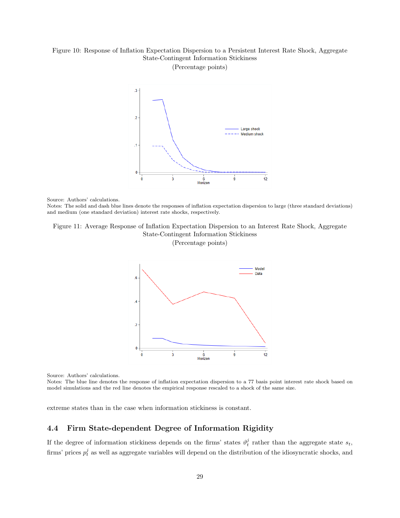## <span id="page-29-1"></span>Figure 10: Response of Inflation Expectation Dispersion to a Persistent Interest Rate Shock, Aggregate State-Contingent Information Stickiness

(Percentage points)



Source: Authors' calculations.

Notes: The solid and dash blue lines denote the responses of inflation expectation dispersion to large (three standard deviations) and medium (one standard deviation) interest rate shocks, respectively.

# <span id="page-29-2"></span>Figure 11: Average Response of Inflation Expectation Dispersion to an Interest Rate Shock, Aggregate State-Contingent Information Stickiness

(Percentage points)



Source: Authors' calculations.

Notes: The blue line denotes the response of inflation expectation dispersion to a 77 basis point interest rate shock based on model simulations and the red line denotes the empirical response rescaled to a shock of the same size.

extreme states than in the case when information stickiness is constant.

#### <span id="page-29-0"></span>4.4 Firm State-dependent Degree of Information Rigidity

If the degree of information stickiness depends on the firms' states  $\vartheta_t^j$  rather than the aggregate state  $s_t$ , firms' prices  $p_t^j$  as well as aggregate variables will depend on the distribution of the idiosyncratic shocks, and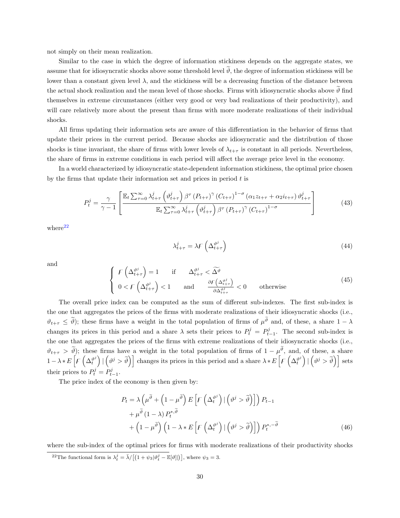not simply on their mean realization.

Similar to the case in which the degree of information stickiness depends on the aggregate states, we assume that for idiosyncratic shocks above some threshold level  $\hat{\theta}$ , the degree of information stickiness will be lower than a constant given level  $\lambda$ , and the stickiness will be a decreasing function of the distance between the actual shock realization and the mean level of those shocks. Firms with idiosyncratic shocks above  $\vartheta$  find themselves in extreme circumstances (either very good or very bad realizations of their productivity), and will care relatively more about the present than firms with more moderate realizations of their individual shocks.

All firms updating their information sets are aware of this differentiation in the behavior of firms that update their prices in the current period. Because shocks are idiosyncratic and the distribution of those shocks is time invariant, the share of firms with lower levels of  $\lambda_{t+\tau}$  is constant in all periods. Nevertheless, the share of firms in extreme conditions in each period will affect the average price level in the economy.

In a world characterized by idiosyncratic state-dependent information stickiness, the optimal price chosen by the firms that update their information set and prices in period  $t$  is

$$
P_t^j = \frac{\gamma}{\gamma - 1} \left[ \frac{\mathbb{E}_t \sum_{\tau=0}^{\infty} \lambda_{t+\tau}^j \left( \vartheta_{t+\tau}^j \right) \beta^{\tau} \left( P_{t+\tau} \right)^{\gamma} \left( C_{t+\tau} \right)^{1-\sigma} \left( \alpha_1 z_{t+\tau} + \alpha_2 z_{t+\tau} \right) \vartheta_{t+\tau}^j}{\mathbb{E}_t \sum_{\tau=0}^{\infty} \lambda_{t+\tau}^j \left( \vartheta_{t+\tau}^j \right) \beta^{\tau} \left( P_{t+\tau} \right)^{\gamma} \left( C_{t+\tau} \right)^{1-\sigma}} \right]
$$
(43)

 $where<sup>22</sup>$  $where<sup>22</sup>$  $where<sup>22</sup>$ 

$$
\lambda_{t+\tau}^j = \lambda \mathcal{F}\left(\Delta_{t+\tau}^{\vartheta^j}\right) \tag{44}
$$

and

$$
\begin{cases}\nF\left(\Delta_{t+\tau}^{\vartheta^{j}}\right) = 1 & \text{if } \Delta_{t+\tau}^{\vartheta^{j}} < \widetilde{\Delta^{\vartheta}} \\
0 < F\left(\Delta_{t+\tau}^{\vartheta^{j}}\right) < 1 \end{cases}\n\quad \text{and} \quad\n\frac{\partial F\left(\Delta_{t+\tau}^{\vartheta^{j}}\right)}{\partial \Delta_{t+\tau}^{\vartheta^{j}}} < 0 \quad \text{otherwise}\n\tag{45}
$$

The overall price index can be computed as the sum of different sub-indexes. The first sub-index is the one that aggregates the prices of the firms with moderate realizations of their idiosyncratic shocks (i.e.,  $\vartheta_{t+\tau} \leq \tilde{\vartheta}$ ; these firms have a weight in the total population of firms of  $\mu^{\vartheta}$  and, of these, a share  $1-\lambda$ changes its prices in this period and a share  $\lambda$  sets their prices to  $P_t^j = P_{t-1}^j$ . The second sub-index is the one that aggregates the prices of the firms with extreme realizations of their idiosyncratic shocks (i.e.,  $\vartheta_{t+\tau} > \tilde{\vartheta}$ ; these firms have a weight in the total population of firms of  $1 - \mu^{\vartheta}$ , and, of these, a share  $1 - \lambda * E\left[F\left(\Delta_t^{\vartheta^j}\right) | \left(\vartheta^j > \widetilde{\vartheta}\right)\right]$  changes its prices in this period and a share  $\lambda * E\left[F\left(\Delta_t^{\vartheta^j}\right) | \left(\vartheta^j > \widetilde{\vartheta}\right)\right]$  sets their prices to  $P_t^j = P_{t-1}^j$ .

The price index of the economy is then given by:

$$
P_{t} = \lambda \left(\mu^{\widetilde{\vartheta}} + \left(1 - \mu^{\widetilde{\vartheta}}\right) E\left[F\left(\Delta_{t}^{\vartheta^{j}}\right) | \left(\vartheta^{j} > \widetilde{\vartheta}\right)\right]\right) P_{t-1} + \mu^{\widetilde{\vartheta}} \left(1 - \lambda\right) P_{t}^{*, \widetilde{\vartheta}} + \left(1 - \mu^{\widetilde{\vartheta}}\right) \left(1 - \lambda * E\left[F\left(\Delta_{t}^{\vartheta^{j}}\right) | \left(\vartheta^{j} > \widetilde{\vartheta}\right)\right]\right) P_{t}^{*, -\widetilde{\vartheta}} \tag{46}
$$

where the sub-index of the optimal prices for firms with moderate realizations of their productivity shocks

<span id="page-30-0"></span><sup>&</sup>lt;sup>22</sup>The functional form is  $\lambda_t^j = \bar{\lambda}/[(1 + \psi_3|\vartheta_t^j - \mathbb{E}[\vartheta]|)],$  where  $\psi_3 = 3$ .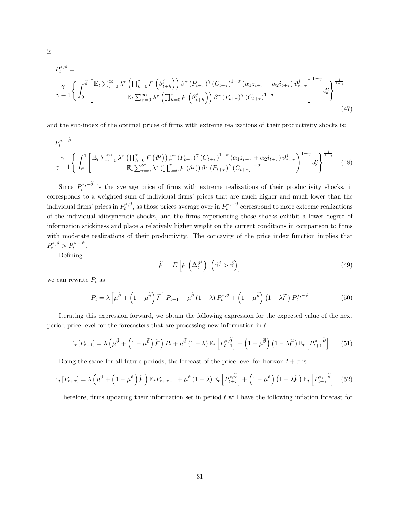$$
P_{t}^{*,\tilde{\theta}} = \frac{\gamma}{\gamma - 1} \left\{ \int_{0}^{\tilde{\theta}} \left[ \frac{\mathbb{E}_{t} \sum_{\tau=0}^{\infty} \lambda^{\tau} \left( \prod_{h=0}^{\tau} F\left(\vartheta_{t+h}^{j}\right) \right) \beta^{\tau} \left(P_{t+\tau}\right)^{\gamma} \left(C_{t+\tau}\right)^{1-\sigma} \left(\alpha_{1} z_{t+\tau} + \alpha_{2} i_{t+\tau}\right) \vartheta_{t+\tau}^{j}}{\mathbb{E}_{t} \sum_{\tau=0}^{\infty} \lambda^{\tau} \left( \prod_{h=0}^{\tau} F\left(\vartheta_{t+h}^{j}\right) \right) \beta^{\tau} \left(P_{t+\tau}\right)^{\gamma} \left(C_{t+\tau}\right)^{1-\sigma}} \right]^{1-\gamma} d\mathbf{j} \right\}^{\frac{1}{1-\gamma}}
$$
\n
$$
(47)
$$

and the sub-index of the optimal prices of firms with extreme realizations of their productivity shocks is:

$$
P_{t}^{*,-\widetilde{\vartheta}} = \frac{\gamma}{\gamma - 1} \Bigg\{ \int_{\widetilde{\vartheta}}^{1} \left[ \frac{\mathbb{E}_{t} \sum_{\tau=0}^{\infty} \lambda^{\tau} \left( \prod_{h=0}^{\tau} F\left(\vartheta^{j}\right) \right) \beta^{\tau} \left( P_{t+\tau}\right)^{\gamma} \left( C_{t+\tau}\right)^{1-\sigma} \left( \alpha_{1} z_{t+\tau} + \alpha_{2} i_{t+\tau} \right) \vartheta_{t+\tau}^{j}}{\mathbb{E}_{t} \sum_{\tau=0}^{\infty} \lambda^{\tau} \left( \prod_{h=0}^{\tau} F\left(\vartheta^{j}\right) \right) \beta^{\tau} \left( P_{t+\tau}\right)^{\gamma} \left( C_{t+\tau}\right)^{1-\sigma}} \right]^{1-\gamma} d\mathfrak{z} \Bigg\}^{\frac{1}{1-\gamma}}
$$
(48)

Since  $P_t^{*,-\vartheta}$  is the average price of firms with extreme realizations of their productivity shocks, it corresponds to a weighted sum of individual firms' prices that are much higher and much lower than the individual firms' prices in  $P_t^{*,\vartheta}$ , as those prices average over in  $P_t^{*,-\vartheta}$  correspond to more extreme realizations of the individual idiosyncratic shocks, and the firms experiencing those shocks exhibit a lower degree of information stickiness and place a relatively higher weight on the current conditions in comparison to firms with moderate realizations of their productivity. The concavity of the price index function implies that  $P_t^{*,\vartheta} > P_t^{*,-\vartheta}.$ 

Defining

$$
\widetilde{F} = E\left[F\left(\Delta_t^{\vartheta^j}\right) | \left(\vartheta^j > \widetilde{\vartheta}\right)\right] \tag{49}
$$

we can rewrite  $P_t$  as

$$
P_t = \lambda \left[ \mu^{\widetilde{\vartheta}} + \left( 1 - \mu^{\widetilde{\vartheta}} \right) \widetilde{F} \right] P_{t-1} + \mu^{\widetilde{\vartheta}} \left( 1 - \lambda \right) P_t^{*, \widetilde{\vartheta}} + \left( 1 - \mu^{\widetilde{\vartheta}} \right) \left( 1 - \lambda \widetilde{F} \right) P_t^{*, -\widetilde{\vartheta}} \tag{50}
$$

Iterating this expression forward, we obtain the following expression for the expected value of the next period price level for the forecasters that are processing new information in  $t$ 

$$
\mathbb{E}_{t}\left[P_{t+1}\right] = \lambda\left(\mu^{\widetilde{\vartheta}} + \left(1-\mu^{\widetilde{\vartheta}}\right)\widetilde{F}\right)P_{t} + \mu^{\widetilde{\vartheta}}\left(1-\lambda\right)\mathbb{E}_{t}\left[P_{t+1}^{*,\widetilde{\vartheta}}\right] + \left(1-\mu^{\widetilde{\vartheta}}\right)\left(1-\lambda\widetilde{F}\right)\mathbb{E}_{t}\left[P_{t+1}^{*,-\widetilde{\vartheta}}\right] \tag{51}
$$

Doing the same for all future periods, the forecast of the price level for horizon  $t + \tau$  is

$$
\mathbb{E}_{t}\left[P_{t+\tau}\right] = \lambda\left(\mu^{\widetilde{\vartheta}} + \left(1-\mu^{\widetilde{\vartheta}}\right)\widetilde{F}\right)\mathbb{E}_{t}P_{t+\tau-1} + \mu^{\widetilde{\vartheta}}\left(1-\lambda\right)\mathbb{E}_{t}\left[P_{t+\tau}^{*,\widetilde{\vartheta}}\right] + \left(1-\mu^{\widetilde{\vartheta}}\right)\left(1-\lambda\widetilde{F}\right)\mathbb{E}_{t}\left[P_{t+\tau}^{*,-\widetilde{\vartheta}}\right] \tag{52}
$$

Therefore, firms updating their information set in period  $t$  will have the following inflation forecast for

is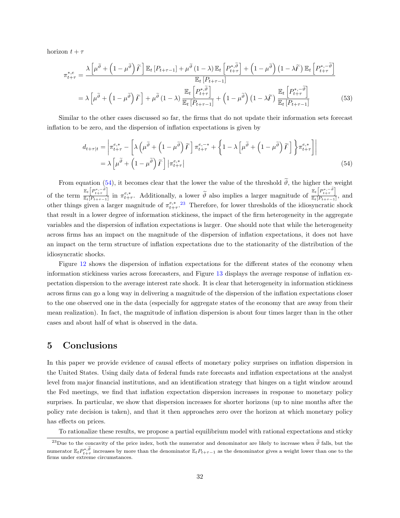horizon  $t + \tau$ 

$$
\pi_{t+\tau}^{*,e} = \frac{\lambda \left[ \mu^{\widetilde{\vartheta}} + \left( 1 - \mu^{\widetilde{\vartheta}} \right) \widetilde{F} \right] \mathbb{E}_{t} \left[ P_{t+\tau-1} \right] + \mu^{\widetilde{\vartheta}} \left( 1 - \lambda \right) \mathbb{E}_{t} \left[ P_{t+\tau}^{*,\widetilde{\vartheta}} \right] + \left( 1 - \mu^{\widetilde{\vartheta}} \right) \left( 1 - \lambda \widetilde{F} \right) \mathbb{E}_{t} \left[ P_{t+\tau}^{*,-\widetilde{\vartheta}} \right]}{\mathbb{E}_{t} \left[ P_{t+\tau-1} \right]}
$$
\n
$$
= \lambda \left[ \mu^{\widetilde{\vartheta}} + \left( 1 - \mu^{\widetilde{\vartheta}} \right) \widetilde{F} \right] + \mu^{\widetilde{\vartheta}} \left( 1 - \lambda \right) \frac{\mathbb{E}_{t} \left[ P_{t+\tau}^{*,\widetilde{\vartheta}} \right]}{\mathbb{E}_{t} \left[ P_{t+\tau-1} \right]} + \left( 1 - \mu^{\widetilde{\vartheta}} \right) \left( 1 - \lambda \widetilde{F} \right) \frac{\mathbb{E}_{t} \left[ P_{t+\tau}^{*,-\widetilde{\vartheta}} \right]}{\mathbb{E}_{t} \left[ P_{t+\tau-1} \right]} \tag{53}
$$

Similar to the other cases discussed so far, the firms that do not update their information sets forecast inflation to be zero, and the dispersion of inflation expectations is given by

<span id="page-32-1"></span>
$$
d_{t+\tau|t} = \left| \pi_{t+\tau}^{e,*} - \left[ \lambda \left( \mu^{\widetilde{\vartheta}} + \left( 1 - \mu^{\widetilde{\vartheta}} \right) \widetilde{F} \right] \pi_{t+\tau}^{e,-*} + \left\{ 1 - \lambda \left[ \mu^{\widetilde{\vartheta}} + \left( 1 - \mu^{\widetilde{\vartheta}} \right) \widetilde{F} \right] \right\} \pi_{t+\tau}^{e,*} \right] \right|
$$
  
=  $\lambda \left[ \mu^{\widetilde{\vartheta}} + \left( 1 - \mu^{\widetilde{\vartheta}} \right) \widetilde{F} \right] \left| \pi_{t+\tau}^{e,*} \right|$  (54)

From equation [\(54\)](#page-32-1), it becomes clear that the lower the value of the threshold  $\tilde{\vartheta}$ , the higher the weight of the term  $\frac{\mathbb{E}_t\left[P_{t+\tau}^{*,-\tilde{\vartheta}}\right]}{\mathbb{E}_t\left[P_{t+\tau}^{*,-1}\right]}$  $\frac{\mathbb{E}_t\left[P_{t+\tau}^{*,-\tilde{\vartheta}}\right]}{\mathbb{E}_t\left[P_{t+\tau-1}\right]}$  in  $\pi_{t+\tau}^{e,*}$ . Additionally, a lower  $\widetilde{\vartheta}$  also implies a larger magnitude of  $\frac{\mathbb{E}_t\left[P_{t+\tau}^{*,-\tilde{\vartheta}}\right]}{\mathbb{E}_t\left[P_{t+\tau-1}\right]}$  $\frac{\Gamma_t \Gamma_{t+\tau}}{\mathbb{E}_t[P_{t+\tau-1}]},$  and other things given a larger magnitude of  $\pi^{e,*}_{t+\tau}$ .<sup>[23](#page-32-2)</sup> Therefore, for lower thresholds of the idiosyncratic shock that result in a lower degree of information stickiness, the impact of the firm heterogeneity in the aggregate variables and the dispersion of inflation expectations is larger. One should note that while the heterogeneity across firms has an impact on the magnitude of the dispersion of inflation expectations, it does not have an impact on the term structure of inflation expectations due to the stationarity of the distribution of the idiosyncratic shocks.

Figure [12](#page-33-0) shows the dispersion of inflation expectations for the different states of the economy when information stickiness varies across forecasters, and Figure [13](#page-33-1) displays the average response of inflation expectation dispersion to the average interest rate shock. It is clear that heterogeneity in information stickiness across firms can go a long way in delivering a magnitude of the dispersion of the inflation expectations closer to the one observed one in the data (especially for aggregate states of the economy that are away from their mean realization). In fact, the magnitude of inflation dispersion is about four times larger than in the other cases and about half of what is observed in the data.

## <span id="page-32-0"></span>5 Conclusions

In this paper we provide evidence of causal effects of monetary policy surprises on inflation dispersion in the United States. Using daily data of federal funds rate forecasts and inflation expectations at the analyst level from major financial institutions, and an identification strategy that hinges on a tight window around the Fed meetings, we find that inflation expectation dispersion increases in response to monetary policy surprises. In particular, we show that dispersion increases for shorter horizons (up to nine months after the policy rate decision is taken), and that it then approaches zero over the horizon at which monetary policy has effects on prices.

To rationalize these results, we propose a partial equilibrium model with rational expectations and sticky

<span id="page-32-2"></span><sup>&</sup>lt;sup>23</sup>Due to the concavity of the price index, both the numerator and denominator are likely to increase when  $\tilde{\theta}$  falls, but the numerator  $\mathbb{E}_t P_{t+\tau}^{*,\vartheta}$  increases by more than the denominator  $\mathbb{E}_t P_{t+\tau-1}$  as the denominator gives a weight lower than one to the firms under extreme circumstances.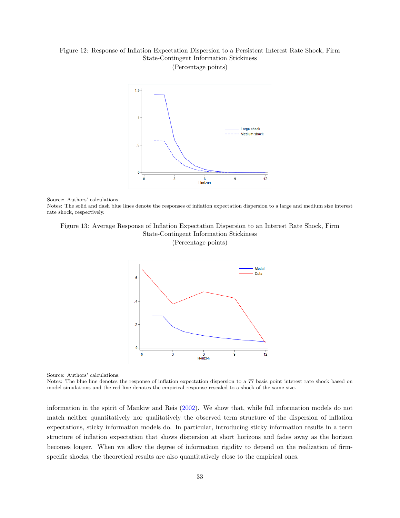#### <span id="page-33-0"></span>Figure 12: Response of Inflation Expectation Dispersion to a Persistent Interest Rate Shock, Firm State-Contingent Information Stickiness (Percentage points)



Source: Authors' calculations.

Notes: The solid and dash blue lines denote the responses of inflation expectation dispersion to a large and medium size interest rate shock, respectively.

#### <span id="page-33-1"></span>Figure 13: Average Response of Inflation Expectation Dispersion to an Interest Rate Shock, Firm State-Contingent Information Stickiness

(Percentage points)



Source: Authors' calculations.

Notes: The blue line denotes the response of inflation expectation dispersion to a 77 basis point interest rate shock based on model simulations and the red line denotes the empirical response rescaled to a shock of the same size.

information in the spirit of Mankiw and Reis [\(2002\)](#page-36-2). We show that, while full information models do not match neither quantitatively nor qualitatively the observed term structure of the dispersion of inflation expectations, sticky information models do. In particular, introducing sticky information results in a term structure of inflation expectation that shows dispersion at short horizons and fades away as the horizon becomes longer. When we allow the degree of information rigidity to depend on the realization of firmspecific shocks, the theoretical results are also quantitatively close to the empirical ones.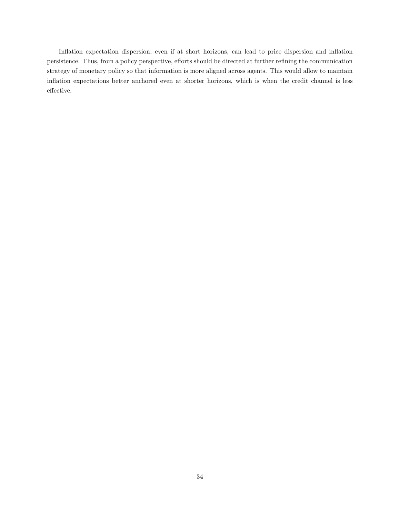Inflation expectation dispersion, even if at short horizons, can lead to price dispersion and inflation persistence. Thus, from a policy perspective, efforts should be directed at further refining the communication strategy of monetary policy so that information is more aligned across agents. This would allow to maintain inflation expectations better anchored even at shorter horizons, which is when the credit channel is less effective.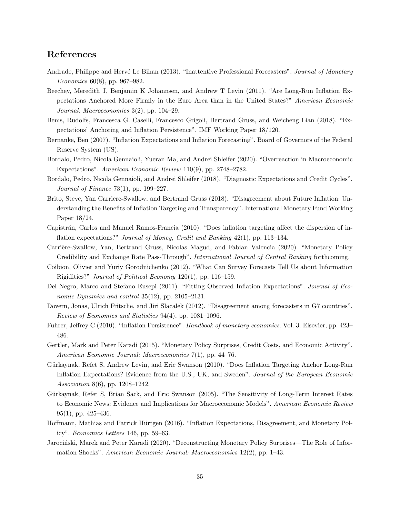## References

- <span id="page-35-8"></span>Andrade, Philippe and Hervé Le Bihan (2013). "Inattentive Professional Forecasters". Journal of Monetary Economics  $60(8)$ , pp. 967–982.
- <span id="page-35-14"></span>Beechey, Meredith J, Benjamin K Johannsen, and Andrew T Levin (2011). "Are Long-Run Inflation Expectations Anchored More Firmly in the Euro Area than in the United States?" American Economic Journal: Macroeconomics 3(2), pp. 104–29.
- <span id="page-35-2"></span>Bems, Rudolfs, Francesca G. Caselli, Francesco Grigoli, Bertrand Gruss, and Weicheng Lian (2018). "Expectations' Anchoring and Inflation Persistence". IMF Working Paper 18/120.
- <span id="page-35-0"></span>Bernanke, Ben (2007). "Inflation Expectations and Inflation Forecasting". Board of Governors of the Federal Reserve System (US).
- <span id="page-35-17"></span>Bordalo, Pedro, Nicola Gennaioli, Yueran Ma, and Andrei Shleifer (2020). "Overreaction in Macroeconomic Expectations". American Economic Review 110(9), pp. 2748–2782.
- <span id="page-35-16"></span>Bordalo, Pedro, Nicola Gennaioli, and Andrei Shleifer (2018). "Diagnostic Expectations and Credit Cycles". Journal of Finance  $73(1)$ , pp. 199–227.
- <span id="page-35-15"></span>Brito, Steve, Yan Carriere-Swallow, and Bertrand Gruss (2018). "Disagreement about Future Inflation: Understanding the Benefits of Inflation Targeting and Transparency". International Monetary Fund Working Paper 18/24.
- <span id="page-35-13"></span>Capistrán, Carlos and Manuel Ramos-Francia (2010). "Does inflation targeting affect the dispersion of inflation expectations?" Journal of Money, Credit and Banking 42(1), pp. 113–134.
- <span id="page-35-3"></span>Carrière-Swallow, Yan, Bertrand Gruss, Nicolas Magud, and Fabian Valencia (2020). "Monetary Policy Credibility and Exchange Rate Pass-Through". International Journal of Central Banking forthcoming.
- <span id="page-35-11"></span>Coibion, Olivier and Yuriy Gorodnichenko (2012). "What Can Survey Forecasts Tell Us about Information Rigidities?" Journal of Political Economy 120(1), pp. 116–159.
- <span id="page-35-10"></span>Del Negro, Marco and Stefano Eusepi (2011). "Fitting Observed Inflation Expectations". Journal of Economic Dynamics and control 35(12), pp. 2105–2131.
- <span id="page-35-5"></span>Dovern, Jonas, Ulrich Fritsche, and Jiri Slacalek (2012). "Disagreement among forecasters in G7 countries". Review of Economics and Statistics 94(4), pp. 1081–1096.
- <span id="page-35-1"></span>Fuhrer, Jeffrey C (2010). "Inflation Persistence". Handbook of monetary economics. Vol. 3. Elsevier, pp. 423– 486.
- <span id="page-35-7"></span>Gertler, Mark and Peter Karadi (2015). "Monetary Policy Surprises, Credit Costs, and Economic Activity". American Economic Journal: Macroeconomics 7(1), pp. 44–76.
- <span id="page-35-12"></span>Gürkaynak, Refet S, Andrew Levin, and Eric Swanson (2010). "Does Inflation Targeting Anchor Long-Run Inflation Expectations? Evidence from the U.S., UK, and Sweden". Journal of the European Economic Association 8(6), pp. 1208–1242.
- <span id="page-35-6"></span>Gürkaynak, Refet S, Brian Sack, and Eric Swanson (2005). "The Sensitivity of Long-Term Interest Rates to Economic News: Evidence and Implications for Macroeconomic Models". American Economic Review 95(1), pp. 425–436.
- <span id="page-35-4"></span>Hoffmann, Mathias and Patrick Hürtgen (2016). "Inflation Expectations, Disagreement, and Monetary Policy". Economics Letters 146, pp. 59–63.
- <span id="page-35-9"></span>Jarociński, Marek and Peter Karadi (2020). "Deconstructing Monetary Policy Surprises—The Role of Information Shocks". American Economic Journal: Macroeconomics 12(2), pp. 1–43.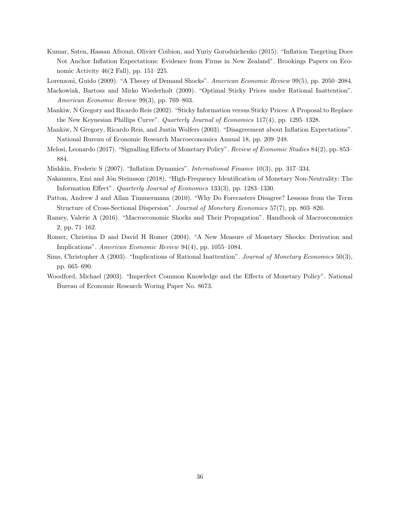- <span id="page-36-3"></span>Kumar, Saten, Hassan Afrouzi, Olivier Coibion, and Yuriy Gorodnichenko (2015). "Inflation Targeting Does Not Anchor Inflation Expectations: Evidence from Firms in New Zealand". Brookings Papers on Economic Activity 46(2 Fall), pp. 151–225.
- <span id="page-36-12"></span>Lorenzoni, Guido (2009). "A Theory of Demand Shocks". American Economic Review 99(5), pp. 2050–2084.
- <span id="page-36-11"></span>Mackowiak, Bartosz and Mirko Wiederholt (2009). "Optimal Sticky Prices under Rational Inattention". American Economic Review 99(3), pp. 769–803.
- <span id="page-36-2"></span>Mankiw, N Gregory and Ricardo Reis (2002). "Sticky Information versus Sticky Prices: A Proposal to Replace the New Keynesian Phillips Curve". Quarterly Journal of Economics 117(4), pp. 1295–1328.
- <span id="page-36-1"></span>Mankiw, N Gregory, Ricardo Reis, and Justin Wolfers (2003). "Disagreement about Inflation Expectations". National Bureau of Economic Research Macroeconomics Annual 18, pp. 209–248.
- <span id="page-36-7"></span>Melosi, Leonardo (2017). "Signalling Effects of Monetary Policy". Review of Economic Studies 84(2), pp. 853– 884.
- <span id="page-36-0"></span>Mishkin, Frederic S (2007). "Inflation Dynamics". International Finance 10(3), pp. 317–334.
- <span id="page-36-4"></span>Nakamura, Emi and Jón Steinsson (2018). "High-Frequency Identification of Monetary Non-Neutrality: The Information Effect". Quarterly Journal of Economics 133(3), pp. 1283–1330.
- <span id="page-36-5"></span>Patton, Andrew J and Allan Timmermann (2010). "Why Do Forecasters Disagree? Lessons from the Term Structure of Cross-Sectional Dispersion". Journal of Monetary Economics 57(7), pp. 803–820.
- <span id="page-36-9"></span>Ramey, Valerie A (2016). "Macroeconomic Shocks and Their Propagation". Handbook of Macroeconomics 2, pp. 71–162.
- <span id="page-36-8"></span>Romer, Christina D and David H Romer (2004). "A New Measure of Monetary Shocks: Derivation and Implications". American Economic Review 94(4), pp. 1055–1084.
- <span id="page-36-6"></span>Sims, Christopher A (2003). "Implications of Rational Inattention". Journal of Monetary Economics 50(3), pp. 665–690.
- <span id="page-36-10"></span>Woodford, Michael (2003). "Imperfect Common Knowledge and the Effects of Monetary Policy". National Bureau of Economic Research Woring Paper No. 8673.